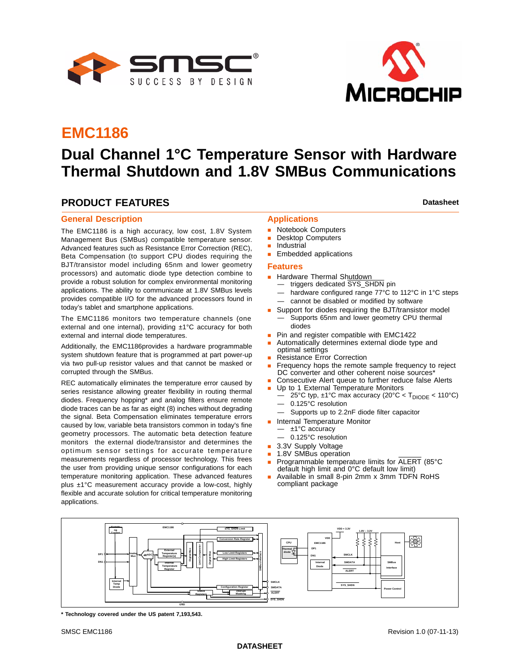



# **EMC1186**

# **Dual Channel 1°C Temperature Sensor with Hardware Thermal Shutdown and 1.8V SMBus Communications**

## **PRODUCT FEATURES Datasheet Datasheet Datasheet**

#### **General Description**

The EMC1186 is a high accuracy, low cost, 1.8V System Management Bus (SMBus) compatible temperature sensor. Advanced features such as Resistance Error Correction (REC), Beta Compensation (to support CPU diodes requiring the BJT/transistor model including 65nm and lower geometry processors) and automatic diode type detection combine to provide a robust solution for complex environmental monitoring applications. The ability to communicate at 1.8V SMBus levels provides compatible I/O for the advanced processors found in today's tablet and smartphone applications.

The EMC1186 monitors two temperature channels (one external and one internal), providing ±1°C accuracy for both external and internal diode temperatures.

Additionally, the EMC1186provides a hardware programmable system shutdown feature that is programmed at part power-up via two pull-up resistor values and that cannot be masked or corrupted through the SMBus.

REC automatically eliminates the temperature error caused by series resistance allowing greater flexibility in routing thermal diodes. Frequency hopping\* and analog filters ensure remote diode traces can be as far as eight (8) inches without degrading the signal. Beta Compensation eliminates temperature errors caused by low, variable beta transistors common in today's fine geometry processors. The automatic beta detection feature monitors the external diode/transistor and determines the optimum sensor settings for accurate temperature measurements regardless of processor technology. This frees the user from providing unique sensor configurations for each temperature monitoring application. These advanced features plus ±1°C measurement accuracy provide a low-cost, highly flexible and accurate solution for critical temperature monitoring applications.

### **Applications**

- **Notebook Computers**
- Desktop Computers
- **Industrial**
- **Embedded applications**

#### **Features**

- **Hardware Thermal Shutdown** 
	- triggers dedicated SYS\_SHDN pin
	- hardware configured range 77°C to 112°C in 1°C steps
	- cannot be disabled or modified by software
- Support for diodes requiring the BJT/transistor model — Supports 65nm and lower geometry CPU thermal diodes
- Pin and register compatible with EMC1422
- Automatically determines external diode type and optimal settings
- Resistance Error Correction
- Frequency hops the remote sample frequency to reject DC converter and other coherent noise sources<sup>\*</sup>
- Consecutive Alert queue to further reduce false Alerts
- Up to 1 External Temperature Monitors
	- $-$  25°C typ, ±1°C max accuracy (20°C < T<sub>DIODE</sub> < 110°C)
	- 0.125°C resolution
	- Supports up to 2.2nF diode filter capacitor
- **Internal Temperature Monitor** 
	- ±1°C accuracy
	- 0.125°C resolution
- 3.3V Supply Voltage
- 1.8V SMBus operation
- Programmable temperature limits for ALERT (85°C default high limit and 0°C default low limit)
- Available in small 8-pin 2mm x 3mm TDFN RoHS compliant package



**\* Technology covered under the US patent 7,193,543.**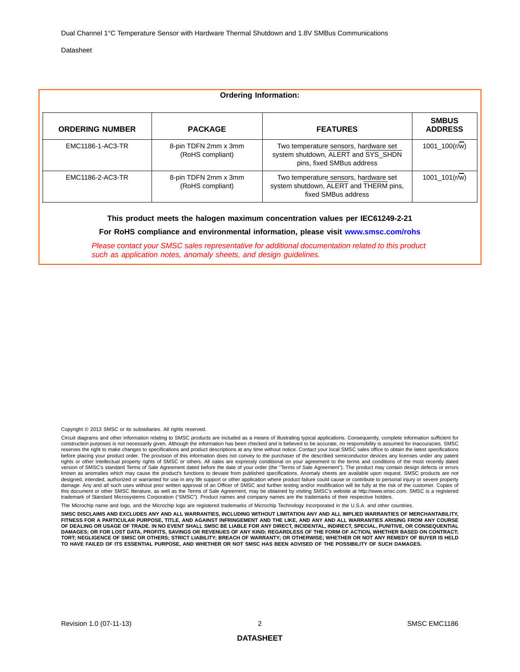Dual Channel 1°C Temperature Sensor with Hardware Thermal Shutdown and 1.8V SMBus Communications

Datasheet

| <b>Ordering Information:</b> |                                          |                                                                                                           |                                |  |  |  |  |  |
|------------------------------|------------------------------------------|-----------------------------------------------------------------------------------------------------------|--------------------------------|--|--|--|--|--|
| <b>ORDERING NUMBER</b>       | <b>PACKAGE</b>                           | <b>FEATURES</b>                                                                                           | <b>SMBUS</b><br><b>ADDRESS</b> |  |  |  |  |  |
| EMC1186-1-AC3-TR             | 8-pin TDFN 2mm x 3mm<br>(RoHS compliant) | Two temperature sensors, hardware set<br>system shutdown, ALERT and SYS_SHDN<br>pins, fixed SMBus address | 1001 100(r/w)                  |  |  |  |  |  |
| EMC1186-2-AC3-TR             | 8-pin TDFN 2mm x 3mm<br>(RoHS compliant) | Two temperature sensors, hardware set<br>system shutdown, ALERT and THERM pins,<br>fixed SMBus address    | 1001 $101(r/w)$                |  |  |  |  |  |

#### **This product meets the halogen maximum concentration values per IEC61249-2-21**

**For RoHS compliance and environmental information, please visit [www.smsc.com/rohs](http://www.smsc.com/index.php?tid=219
)**

*Please contact your SMSC sales representative for additional documentation related to this product such as application notes, anomaly sheets, and design guidelines.*

Copyright © 2013 SMSC or its subsidiaries. All rights reserved.

Circuit diagrams and other information relating to SMSC products are included as a means of illustrating typical applications. Consequently, complete information sufficient for<br>construction purposes is not necessarily give reserves the right to make changes to specifications and product descriptions at any time without notice. Contact your local SMSC sales office to obtain the latest specifications before placing your product order. The provision of this information does not convey to the purchaser of the described semiconductor devices any licenses under any patent rights or other intellectual property rights of SMSC or others. All sales are expressly conditional on your agreement to the terms and conditions of the most recently dated version of SMSC's standard Terms of Sale Agreement dated before the date of your order (the "Terms of Sale Agreement"). The product may contain design defects or errors known as anomalies which may cause the product's functions to deviate from published specifications. Anomaly sheets are available upon request. SMSC products are not<br>designed, intended, authorized or warranted for use in a damage. Any and all such uses without prior written approval of an Officer of SMSC and further testing and/or modification will be fully at the risk of the customer. Copies of<br>this document or other SMSC literature, as we

rochip name and logo, and the Microchip logo are registered trademarks of Microchip Technology Incorporated in the U.S.A. and other countrie

SMSC DISCLAIMS AND EXCLUDES ANY AND ALL WARRANTIES, INCLUDING WITHOUT LIMITATION ANY AND ALL IMPLIED WARRANTIES OF MERCHANTABILITY,<br>FITNESS FOR A PARTICULAR PURPOSE, TITLE, AND AGAINST INFRINGEMENT AND THE LIKE, AND ANY AN **OF DEALING OR USAGE OF TRADE. IN NO EVENT SHALL SMSC BE LIABLE FOR ANY DIRECT, INCIDENTAL, INDIRECT, SPECIAL, PUNITIVE, OR CONSEQUENTIAL DAMAGES; OR FOR LOST DATA, PROFITS, SAVINGS OR REVENUES OF ANY KIND; REGARDLESS OF THE FORM OF ACTION, WHETHER BASED ON CONTRACT; TORT; NEGLIGENCE OF SMSC OR OTHERS; STRICT LIABILITY; BREACH OF WARRANTY; OR OTHERWISE; WHETHER OR NOT ANY REMEDY OF BUYER IS HELD TO HAVE FAILED OF ITS ESSENTIAL PURPOSE, AND WHETHER OR NOT SMSC HAS BEEN ADVISED OF THE POSSIBILITY OF SUCH DAMAGES.**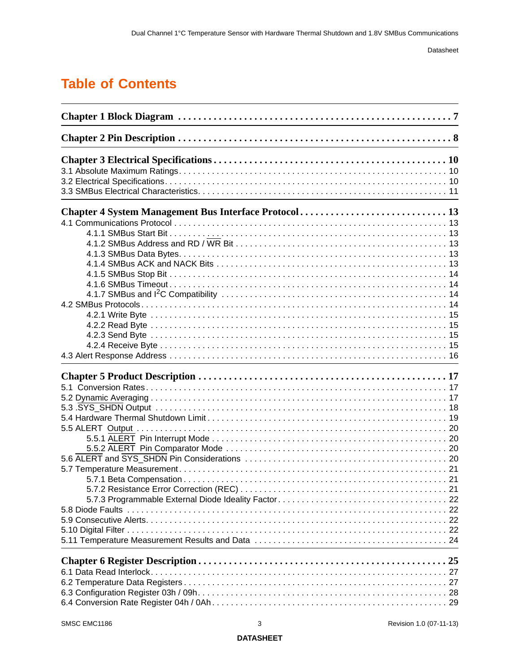# **[Table of Contents](#page-6-0)**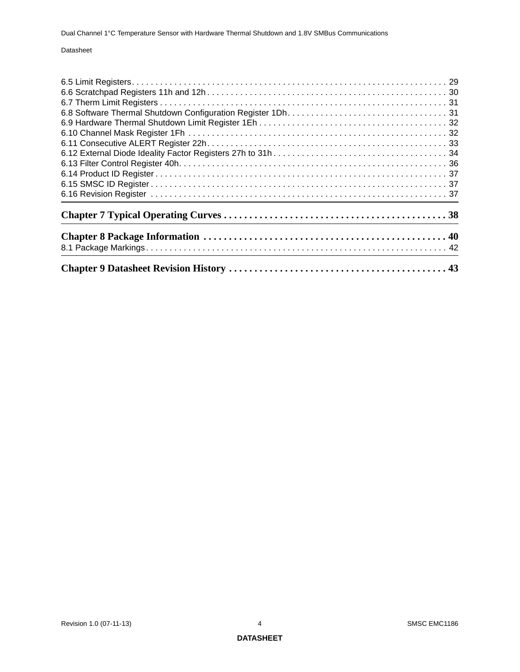Dual Channel 1°C Temperature Sensor with Hardware Thermal Shutdown and 1.8V SMBus Communications

#### Datasheet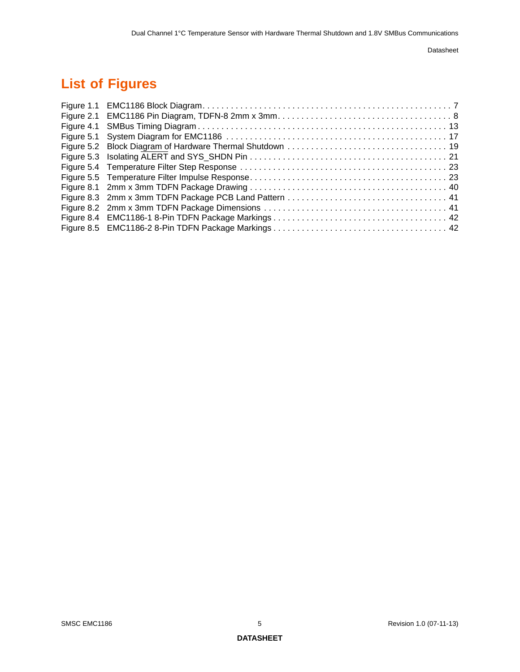# **List of Figures**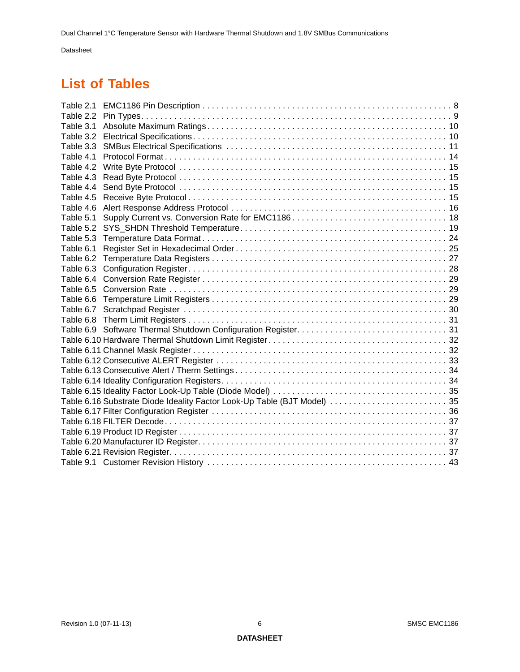# **List of Tables**

| Table 2.1 |                                                                          |  |
|-----------|--------------------------------------------------------------------------|--|
| Table 2.2 |                                                                          |  |
| Table 3.1 |                                                                          |  |
|           |                                                                          |  |
| Table 3.3 |                                                                          |  |
| Table 4.1 |                                                                          |  |
| Table 4.2 |                                                                          |  |
| Table 4.3 |                                                                          |  |
| Table 4.4 |                                                                          |  |
| Table 4.5 |                                                                          |  |
| Table 4.6 |                                                                          |  |
| Table 5.1 |                                                                          |  |
| Table 5.2 |                                                                          |  |
| Table 5.3 |                                                                          |  |
| Table 6.1 |                                                                          |  |
| Table 6.2 |                                                                          |  |
| Table 6.3 |                                                                          |  |
| Table 6.4 |                                                                          |  |
| Table 6.5 |                                                                          |  |
| Table 6.6 |                                                                          |  |
| Table 6.7 |                                                                          |  |
| Table 6.8 |                                                                          |  |
|           |                                                                          |  |
|           |                                                                          |  |
|           |                                                                          |  |
|           |                                                                          |  |
|           |                                                                          |  |
|           |                                                                          |  |
|           |                                                                          |  |
|           | Table 6.16 Substrate Diode Ideality Factor Look-Up Table (BJT Model)  35 |  |
|           |                                                                          |  |
|           |                                                                          |  |
|           |                                                                          |  |
|           |                                                                          |  |
|           |                                                                          |  |
|           |                                                                          |  |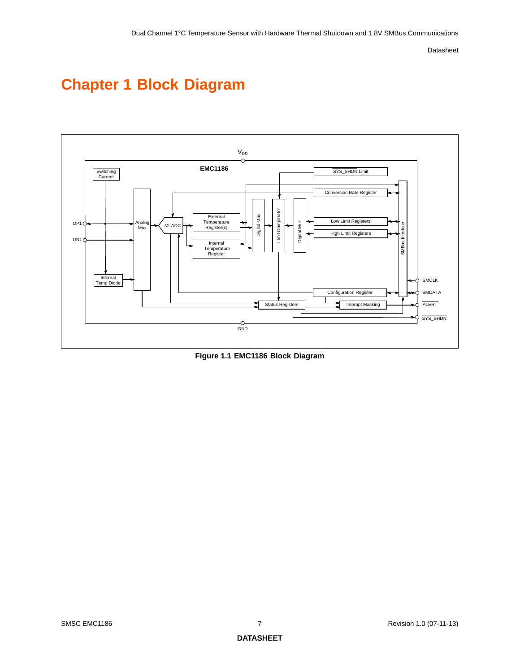# <span id="page-6-0"></span>**Chapter 1 Block Diagram**



<span id="page-6-1"></span>**Figure 1.1 EMC1186 Block Diagram**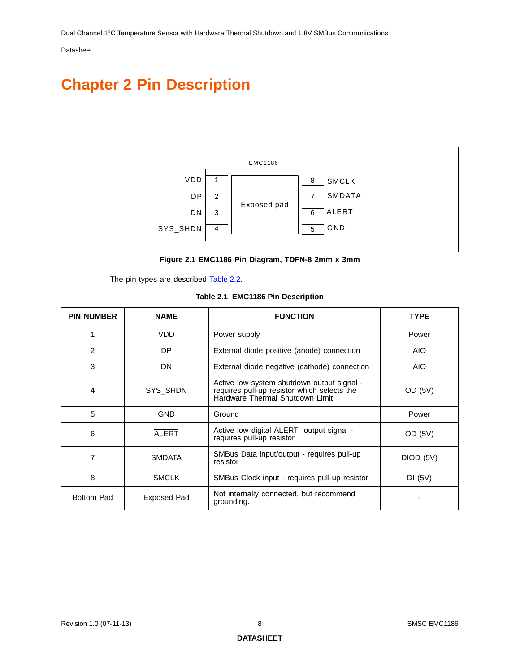# <span id="page-7-0"></span>**Chapter 2 Pin Description**



**Figure 2.1 EMC1186 Pin Diagram, TDFN-8 2mm x 3mm**

<span id="page-7-1"></span>The pin types are described [Table](#page-8-0) 2.2.

|  | Table 2.1 EMC1186 Pin Description |  |
|--|-----------------------------------|--|
|--|-----------------------------------|--|

<span id="page-7-2"></span>

| <b>PIN NUMBER</b> | <b>NAME</b>   | <b>FUNCTION</b>                                                                                                              | <b>TYPE</b> |
|-------------------|---------------|------------------------------------------------------------------------------------------------------------------------------|-------------|
|                   | VDD           | Power supply                                                                                                                 | Power       |
| $\overline{2}$    | DP            | External diode positive (anode) connection                                                                                   | AIO.        |
| 3                 | DN            | External diode negative (cathode) connection                                                                                 | AIO         |
| 4                 | SYS_SHDN      | Active low system shutdown output signal -<br>requires pull-up resistor which selects the<br>Hardware Thermal Shutdown Limit | OD (5V)     |
| 5                 | <b>GND</b>    | Ground                                                                                                                       | Power       |
| 6                 | <b>ALERT</b>  | Active low digital ALERT output signal -<br>requires pull-up resistor                                                        | OD (5V)     |
| 7                 | <b>SMDATA</b> | SMBus Data input/output - requires pull-up<br>resistor                                                                       | DIOD (5V)   |
| 8                 | <b>SMCLK</b>  | SMBus Clock input - requires pull-up resistor                                                                                | DI(5V)      |
| <b>Bottom Pad</b> | Exposed Pad   | Not internally connected, but recommend<br>grounding.                                                                        |             |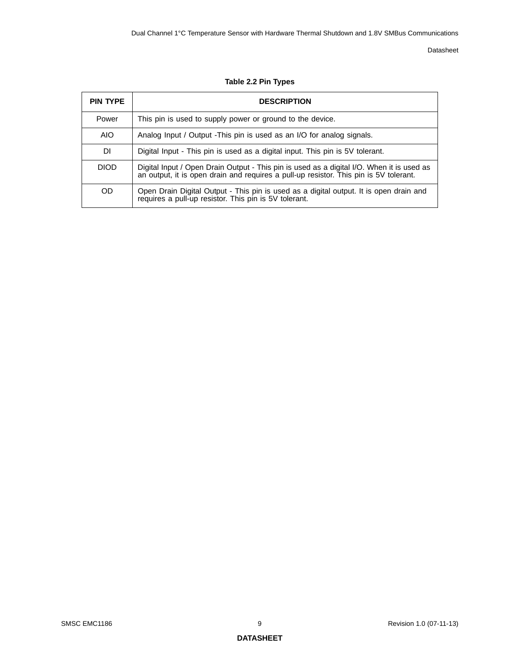<span id="page-8-0"></span>

| <b>PIN TYPE</b> | <b>DESCRIPTION</b>                                                                                                                                                                 |
|-----------------|------------------------------------------------------------------------------------------------------------------------------------------------------------------------------------|
| Power           | This pin is used to supply power or ground to the device.                                                                                                                          |
| <b>AIO</b>      | Analog Input / Output - This pin is used as an I/O for analog signals.                                                                                                             |
| DI.             | Digital Input - This pin is used as a digital input. This pin is 5V tolerant.                                                                                                      |
| <b>DIOD</b>     | Digital Input / Open Drain Output - This pin is used as a digital I/O. When it is used as<br>an output, it is open drain and requires a pull-up resistor. This pin is 5V tolerant. |
| OD.             | Open Drain Digital Output - This pin is used as a digital output. It is open drain and requires a pull-up resistor. This pin is 5V tolerant.                                       |

#### **Table 2.2 Pin Types**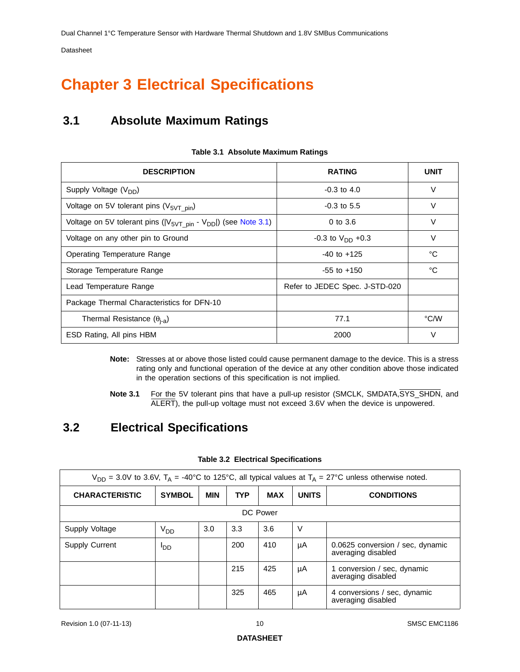# <span id="page-9-0"></span>**Chapter 3 Electrical Specifications**

# <span id="page-9-1"></span>**3.1 Absolute Maximum Ratings**

<span id="page-9-3"></span>

| <b>DESCRIPTION</b>                                                     | <b>RATING</b>                  | <b>UNIT</b> |
|------------------------------------------------------------------------|--------------------------------|-------------|
| Supply Voltage (V <sub>DD</sub> )                                      | $-0.3$ to $4.0$                | $\vee$      |
| Voltage on 5V tolerant pins $(V_{5VT\ pin})$                           | $-0.3$ to 5.5                  | V           |
| Voltage on 5V tolerant pins $( V_{5VT\_pin} - V_{DD} )$ (see Note 3.1) | $0$ to $3.6$                   | V           |
| Voltage on any other pin to Ground                                     | $-0.3$ to $V_{DD}$ +0.3        | V           |
| Operating Temperature Range                                            | $-40$ to $+125$                | °C          |
| Storage Temperature Range                                              | $-55$ to $+150$                | °C          |
| Lead Temperature Range                                                 | Refer to JEDEC Spec. J-STD-020 |             |
| Package Thermal Characteristics for DFN-10                             |                                |             |
| Thermal Resistance $(\theta_{i-a})$                                    | 77.1                           | °C/W        |
| ESD Rating, All pins HBM                                               | 2000                           | V           |

#### **Table 3.1 Absolute Maximum Ratings**

**Note:** Stresses at or above those listed could cause permanent damage to the device. This is a stress rating only and functional operation of the device at any other condition above those indicated in the operation sections of this specification is not implied.

**Note 3.1** For the 5V tolerant pins that have a pull-up resistor (SMCLK, SMDATA, SYS SHDN, and ALERT), the pull-up voltage must not exceed 3.6V when the device is unpowered.

## <span id="page-9-5"></span><span id="page-9-2"></span>**3.2 Electrical Specifications**

<span id="page-9-4"></span>

| $V_{DD}$ = 3.0V to 3.6V, T <sub>A</sub> = -40°C to 125°C, all typical values at T <sub>A</sub> = 27°C unless otherwise noted. |               |            |            |            |              |                                                        |  |  |
|-------------------------------------------------------------------------------------------------------------------------------|---------------|------------|------------|------------|--------------|--------------------------------------------------------|--|--|
| <b>CHARACTERISTIC</b>                                                                                                         | <b>SYMBOL</b> | <b>MIN</b> | <b>TYP</b> | <b>MAX</b> | <b>UNITS</b> | <b>CONDITIONS</b>                                      |  |  |
| DC Power                                                                                                                      |               |            |            |            |              |                                                        |  |  |
| Supply Voltage                                                                                                                | $V_{DD}$      | 3.0        | 3.3        | 3.6        | V            |                                                        |  |  |
| <b>Supply Current</b>                                                                                                         | ססי           |            | 200        | 410        | μA           | 0.0625 conversion / sec. dynamic<br>averaging disabled |  |  |
|                                                                                                                               |               |            | 215        | 425        | μA           | 1 conversion / sec, dynamic<br>averaging disabled      |  |  |
|                                                                                                                               |               |            | 325        | 465        | μA           | 4 conversions / sec, dynamic<br>averaging disabled     |  |  |

#### **Table 3.2 Electrical Specifications**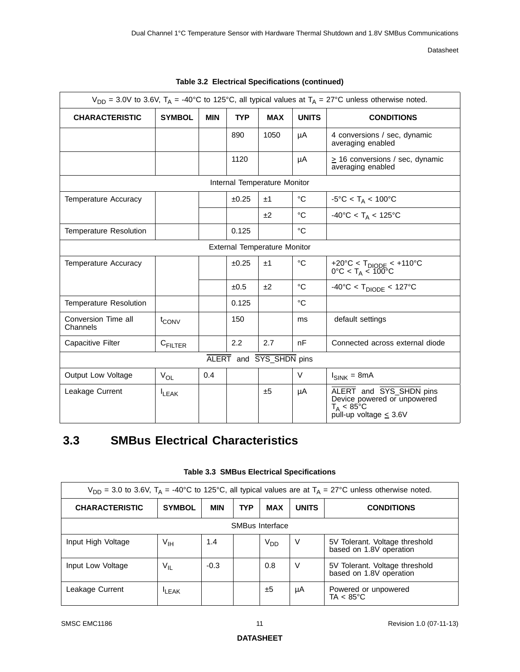| $V_{DD}$ = 3.0V to 3.6V, $T_A$ = -40°C to 125°C, all typical values at $T_A$ = 27°C unless otherwise noted. |                   |            |            |                                     |              |                                                                                                               |  |
|-------------------------------------------------------------------------------------------------------------|-------------------|------------|------------|-------------------------------------|--------------|---------------------------------------------------------------------------------------------------------------|--|
| <b>CHARACTERISTIC</b>                                                                                       | <b>SYMBOL</b>     | <b>MIN</b> | <b>TYP</b> | <b>MAX</b>                          | <b>UNITS</b> | <b>CONDITIONS</b>                                                                                             |  |
|                                                                                                             |                   |            | 890        | 1050                                | μA           | 4 conversions / sec, dynamic<br>averaging enabled                                                             |  |
|                                                                                                             |                   |            | 1120       |                                     | μA           | $\geq$ 16 conversions / sec, dynamic<br>averaging enabled                                                     |  |
|                                                                                                             |                   |            |            | Internal Temperature Monitor        |              |                                                                                                               |  |
| <b>Temperature Accuracy</b>                                                                                 |                   |            | ±0.25      | ±1                                  | $^{\circ}C$  | $-5^{\circ}$ C < T <sub>A</sub> < 100°C                                                                       |  |
|                                                                                                             |                   |            |            | ±2                                  | °C           | $-40^{\circ}$ C < T <sub>A</sub> < 125°C                                                                      |  |
| <b>Temperature Resolution</b>                                                                               |                   |            | 0.125      |                                     | $^{\circ}C$  |                                                                                                               |  |
|                                                                                                             |                   |            |            | <b>External Temperature Monitor</b> |              |                                                                                                               |  |
| <b>Temperature Accuracy</b>                                                                                 |                   |            | ±0.25      | ±1                                  | °C           | +20°C < T <sub>DIODE</sub> < +110°C<br>0°C < T <sub>A</sub> < 100°C                                           |  |
|                                                                                                             |                   |            | ±0.5       | ±2                                  | $^{\circ}C$  | $-40^{\circ}$ C < T <sub>DIODE</sub> < 127°C                                                                  |  |
| <b>Temperature Resolution</b>                                                                               |                   |            | 0.125      |                                     | °C           |                                                                                                               |  |
| Conversion Time all<br>Channels                                                                             | t <sub>CONV</sub> |            | 150        |                                     | ms           | default settings                                                                                              |  |
| Capacitive Filter                                                                                           | CFILTER           |            | 2.2        | 2.7                                 | nF           | Connected across external diode                                                                               |  |
| ALERT and SYS_SHDN pins                                                                                     |                   |            |            |                                     |              |                                                                                                               |  |
| Output Low Voltage                                                                                          | $V_{OL}$          | 0.4        |            |                                     | V            | $I_{SINK} = 8mA$                                                                                              |  |
| Leakage Current                                                                                             | <b>LEAK</b>       |            |            | ±5                                  | μA           | ALERT and SYS_SHDN pins<br>Device powered or unpowered<br>$T_A < 85^{\circ}$ C<br>pull-up voltage $\leq 3.6V$ |  |

#### **Table 3.2 Electrical Specifications (continued)**

# <span id="page-10-0"></span>**3.3 SMBus Electrical Characteristics**

<span id="page-10-1"></span>

| $V_{DD}$ = 3.0 to 3.6V, T <sub>A</sub> = -40°C to 125°C, all typical values are at T <sub>A</sub> = 27°C unless otherwise noted. |                 |            |            |                 |              |                                                           |  |  |
|----------------------------------------------------------------------------------------------------------------------------------|-----------------|------------|------------|-----------------|--------------|-----------------------------------------------------------|--|--|
| <b>CHARACTERISTIC</b>                                                                                                            | <b>SYMBOL</b>   | <b>MIN</b> | <b>TYP</b> | <b>MAX</b>      | <b>UNITS</b> | <b>CONDITIONS</b>                                         |  |  |
| SMBus Interface                                                                                                                  |                 |            |            |                 |              |                                                           |  |  |
| Input High Voltage                                                                                                               | $V_{\text{IH}}$ | 1.4        |            | V <sub>DD</sub> | V            | 5V Tolerant. Voltage threshold<br>based on 1.8V operation |  |  |
| Input Low Voltage                                                                                                                | $V_{IL}$        | $-0.3$     |            | 0.8             | V            | 5V Tolerant. Voltage threshold<br>based on 1.8V operation |  |  |
| Leakage Current                                                                                                                  | <b>LEAK</b>     |            |            | ±5              | μA           | Powered or unpowered<br>$TA < 85^{\circ}C$                |  |  |

#### **Table 3.3 SMBus Electrical Specifications**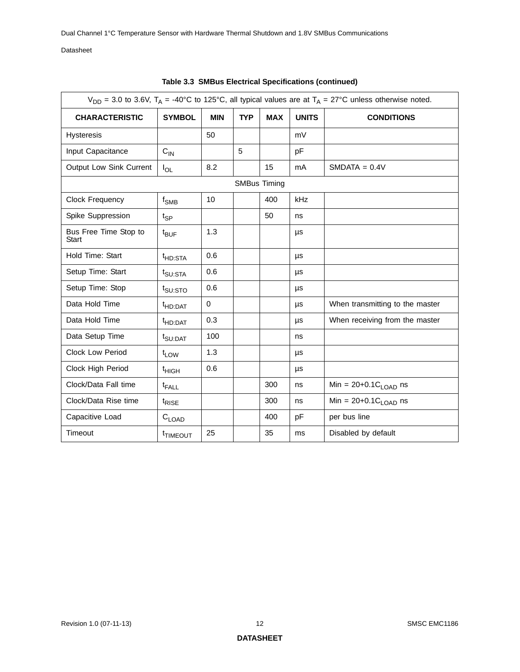|                                       | $V_{DD}$ = 3.0 to 3.6V, T <sub>A</sub> = -40°C to 125°C, all typical values are at T <sub>A</sub> = 27°C unless otherwise noted. |            |            |                     |              |                                  |  |  |
|---------------------------------------|----------------------------------------------------------------------------------------------------------------------------------|------------|------------|---------------------|--------------|----------------------------------|--|--|
| <b>CHARACTERISTIC</b>                 | <b>SYMBOL</b>                                                                                                                    | <b>MIN</b> | <b>TYP</b> | <b>MAX</b>          | <b>UNITS</b> | <b>CONDITIONS</b>                |  |  |
| <b>Hysteresis</b>                     |                                                                                                                                  | 50         |            |                     | mV           |                                  |  |  |
| Input Capacitance                     | $C_{\text{IN}}$                                                                                                                  |            | 5          |                     | pF           |                                  |  |  |
| Output Low Sink Current               | $I_{OL}$                                                                                                                         | 8.2        |            | 15                  | mA           | $SMDATA = 0.4V$                  |  |  |
|                                       |                                                                                                                                  |            |            | <b>SMBus Timing</b> |              |                                  |  |  |
| Clock Frequency                       | $f_{\text{SMB}}$                                                                                                                 | 10         |            | 400                 | kHz          |                                  |  |  |
| Spike Suppression                     | $t_{\mathsf{SP}}$                                                                                                                |            |            | 50                  | ns           |                                  |  |  |
| Bus Free Time Stop to<br><b>Start</b> | $t_{\text{BUF}}$                                                                                                                 | 1.3        |            |                     | μs           |                                  |  |  |
| Hold Time: Start                      | <sup>t</sup> HD:STA                                                                                                              | 0.6        |            |                     | μs           |                                  |  |  |
| Setup Time: Start                     | t <sub>SU:STA</sub>                                                                                                              | 0.6        |            |                     | μs           |                                  |  |  |
| Setup Time: Stop                      | t <sub>SU:STO</sub>                                                                                                              | 0.6        |            |                     | μs           |                                  |  |  |
| Data Hold Time                        | <sup>t</sup> HD:DAT                                                                                                              | 0          |            |                     | μs           | When transmitting to the master  |  |  |
| Data Hold Time                        | <sup>t</sup> HD:DAT                                                                                                              | 0.3        |            |                     | μs           | When receiving from the master   |  |  |
| Data Setup Time                       | t <sub>SU:DAT</sub>                                                                                                              | 100        |            |                     | ns           |                                  |  |  |
| <b>Clock Low Period</b>               | t <sub>LOW</sub>                                                                                                                 | 1.3        |            |                     | μs           |                                  |  |  |
| Clock High Period                     | <sup>t</sup> HIGH                                                                                                                | 0.6        |            |                     | μs           |                                  |  |  |
| Clock/Data Fall time                  | <sup>t</sup> FALL                                                                                                                |            |            | 300                 | ns           | Min = $20+0.1C_{\text{LOAD}}$ ns |  |  |
| Clock/Data Rise time                  | t <sub>RISE</sub>                                                                                                                |            |            | 300                 | ns           | Min = $20+0.1C_{LOAD}$ ns        |  |  |
| Capacitive Load                       | $C_{LOAD}$                                                                                                                       |            |            | 400                 | pF           | per bus line                     |  |  |
| Timeout                               | <sup>t</sup> TIMEOUT                                                                                                             | 25         |            | 35                  | ms           | Disabled by default              |  |  |

**Table 3.3 SMBus Electrical Specifications (continued)**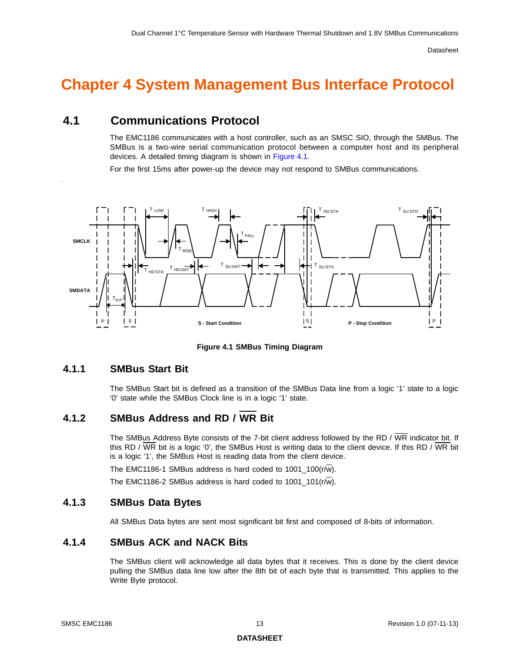# <span id="page-12-0"></span>**Chapter 4 System Management Bus Interface Protocol**

## <span id="page-12-1"></span>**4.1 Communications Protocol**

The EMC1186 communicates with a host controller, such as an SMSC SIO, through the SMBus. The SMBus is a two-wire serial communication protocol between a computer host and its peripheral devices. A detailed timing diagram is shown in [Figure](#page-12-6) 4.1.

For the first 15ms after power-up the device may not respond to SMBus communications.



**Figure 4.1 SMBus Timing Diagram**

### <span id="page-12-6"></span><span id="page-12-2"></span>**4.1.1 SMBus Start Bit**

.

The SMBus Start bit is defined as a transition of the SMBus Data line from a logic '1' state to a logic '0' state while the SMBus Clock line is in a logic '1' state.

### <span id="page-12-3"></span>**4.1.2 SMBus Address and RD / WR Bit**

The SMBus Address Byte consists of the 7-bit client address followed by the RD /  $\overline{\text{WR}}$  indicator bit. If this RD / WR bit is a logic '0', the SMBus Host is writing data to the client device. If this RD / WR bit is a logic '1', the SMBus Host is reading data from the client device.

The EMC1186-1 SMBus address is hard coded to 1001\_100(r/w).

The EMC1186-2 SMBus address is hard coded to  $1001\_101(r/\overline{w})$ .

### <span id="page-12-4"></span>**4.1.3 SMBus Data Bytes**

All SMBus Data bytes are sent most significant bit first and composed of 8-bits of information.

## <span id="page-12-5"></span>**4.1.4 SMBus ACK and NACK Bits**

The SMBus client will acknowledge all data bytes that it receives. This is done by the client device pulling the SMBus data line low after the 8th bit of each byte that is transmitted. This applies to the Write Byte protocol.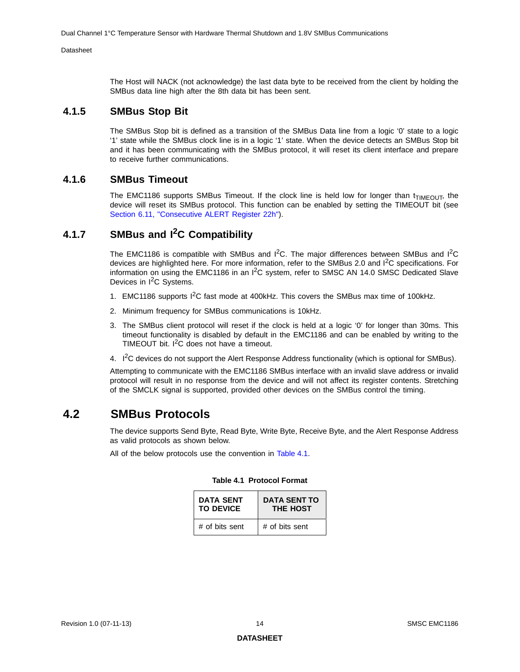The Host will NACK (not acknowledge) the last data byte to be received from the client by holding the SMBus data line high after the 8th data bit has been sent.

### <span id="page-13-0"></span>**4.1.5 SMBus Stop Bit**

The SMBus Stop bit is defined as a transition of the SMBus Data line from a logic '0' state to a logic '1' state while the SMBus clock line is in a logic '1' state. When the device detects an SMBus Stop bit and it has been communicating with the SMBus protocol, it will reset its client interface and prepare to receive further communications.

### <span id="page-13-1"></span>**4.1.6 SMBus Timeout**

The EMC1186 supports SMBus Timeout. If the clock line is held low for longer than  $t_{\text{TIMEOUT}}$ , the device will reset its SMBus protocol. This function can be enabled by setting the TIMEOUT bit (see [Section 6.11, "Consecutive ALERT Register 22h"](#page-32-2)).

## <span id="page-13-2"></span>**4.1.7 SMBus and I2C Compatibility**

The EMC1186 is compatible with SMBus and  $I^2C$ . The major differences between SMBus and  $I^2C$ devices are highlighted here. For more information, refer to the SMBus 2.0 and I2C specifications. For information on using the EMC1186 in an  $I^2C$  system, refer to SMSC AN 14.0 SMSC Dedicated Slave Devices in I<sup>2</sup>C Systems.

- 1. EMC1186 supports I<sup>2</sup>C fast mode at 400kHz. This covers the SMBus max time of 100kHz.
- 2. Minimum frequency for SMBus communications is 10kHz.
- 3. The SMBus client protocol will reset if the clock is held at a logic '0' for longer than 30ms. This timeout functionality is disabled by default in the EMC1186 and can be enabled by writing to the TIMEOUT bit.  $I^2C$  does not have a timeout.
- 4. I<sup>2</sup>C devices do not support the Alert Response Address functionality (which is optional for SMBus).

Attempting to communicate with the EMC1186 SMBus interface with an invalid slave address or invalid protocol will result in no response from the device and will not affect its register contents. Stretching of the SMCLK signal is supported, provided other devices on the SMBus control the timing.

## <span id="page-13-3"></span>**4.2 SMBus Protocols**

The device supports Send Byte, Read Byte, Write Byte, Receive Byte, and the Alert Response Address as valid protocols as shown below.

<span id="page-13-4"></span>All of the below protocols use the convention in [Table](#page-13-4) 4.1.

| <b>DATA SENT</b><br><b>TO DEVICE</b> | <b>DATA SENT TO</b><br><b>THE HOST</b> |
|--------------------------------------|----------------------------------------|
| # of bits sent                       | # of bits sent                         |

#### **Table 4.1 Protocol Format**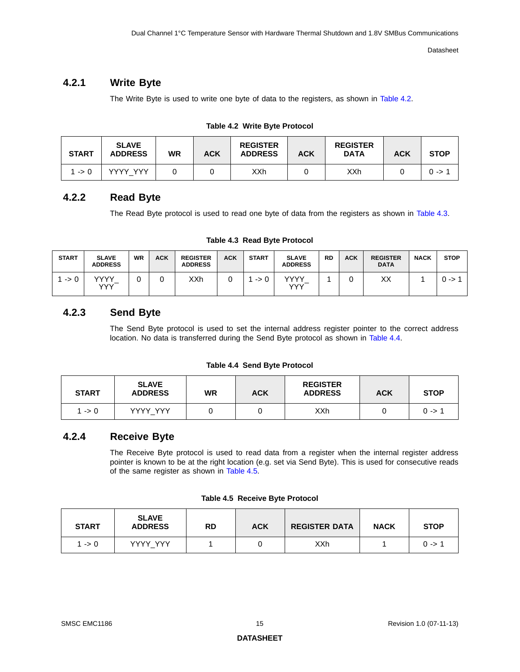### <span id="page-14-0"></span>**4.2.1 Write Byte**

The Write Byte is used to write one byte of data to the registers, as shown in [Table](#page-14-4) 4.2.

|  |  |  | Table 4.2 Write Byte Protocol |
|--|--|--|-------------------------------|
|--|--|--|-------------------------------|

<span id="page-14-4"></span>

| <b>START</b> | <b>SLAVE</b><br><b>ADDRESS</b> | WR | <b>ACK</b> | <b>REGISTER</b><br><b>ADDRESS</b> | <b>ACK</b> | <b>REGISTER</b><br><b>DATA</b> | <b>ACK</b> | <b>STOP</b> |
|--------------|--------------------------------|----|------------|-----------------------------------|------------|--------------------------------|------------|-------------|
| ∣ -> 0       | <b>YYYY YYY</b>                |    |            | XXh                               |            | XXh                            |            | $0 - > 0$   |

### <span id="page-14-1"></span>**4.2.2 Read Byte**

The Read Byte protocol is used to read one byte of data from the registers as shown in [Table](#page-14-5) 4.3.

**Table 4.3 Read Byte Protocol**

<span id="page-14-5"></span>

| <b>START</b>    | <b>SLAVE</b><br><b>ADDRESS</b> | <b>WR</b> | <b>ACK</b> | <b>REGISTER</b><br><b>ADDRESS</b> | <b>ACK</b> | <b>START</b>    | <b>SLAVE</b><br><b>ADDRESS</b> | <b>RD</b> | <b>ACK</b> | <b>REGISTER</b><br><b>DATA</b> | <b>NACK</b> | <b>STOP</b> |
|-----------------|--------------------------------|-----------|------------|-----------------------------------|------------|-----------------|--------------------------------|-----------|------------|--------------------------------|-------------|-------------|
| $\rightarrow 0$ | <b>VVVV</b><br><b>YYY</b>      |           |            | XXh                               |            | $\rightarrow 0$ | vvvv<br>YYY                    |           |            | XХ                             |             | $0 - > 0$   |

## <span id="page-14-2"></span>**4.2.3 Send Byte**

The Send Byte protocol is used to set the internal address register pointer to the correct address location. No data is transferred during the Send Byte protocol as shown in [Table](#page-14-6) 4.4.

#### **Table 4.4 Send Byte Protocol**

<span id="page-14-6"></span>

| <b>START</b> | <b>SLAVE</b><br><b>ADDRESS</b> | WR | <b>ACK</b> | <b>REGISTER</b><br><b>ADDRESS</b> | <b>ACK</b> | <b>STOP</b> |
|--------------|--------------------------------|----|------------|-----------------------------------|------------|-------------|
| 1 -> 0       | YYYY YYY                       |    |            | XXh                               |            | $0 - 5$     |

## <span id="page-14-3"></span>**4.2.4 Receive Byte**

The Receive Byte protocol is used to read data from a register when the internal register address pointer is known to be at the right location (e.g. set via Send Byte). This is used for consecutive reads of the same register as shown in [Table](#page-14-7) 4.5.

| Table 4.5 Receive Byte Protocol |
|---------------------------------|
|---------------------------------|

<span id="page-14-7"></span>

| <b>START</b> | <b>SLAVE</b><br><b>ADDRESS</b> | <b>RD</b> | <b>ACK</b> | <b>REGISTER DATA</b> | <b>NACK</b> | <b>STOP</b> |
|--------------|--------------------------------|-----------|------------|----------------------|-------------|-------------|
| 1 -> 0       | YYYY YYY                       |           |            | XXh                  |             | $0 - > 1$   |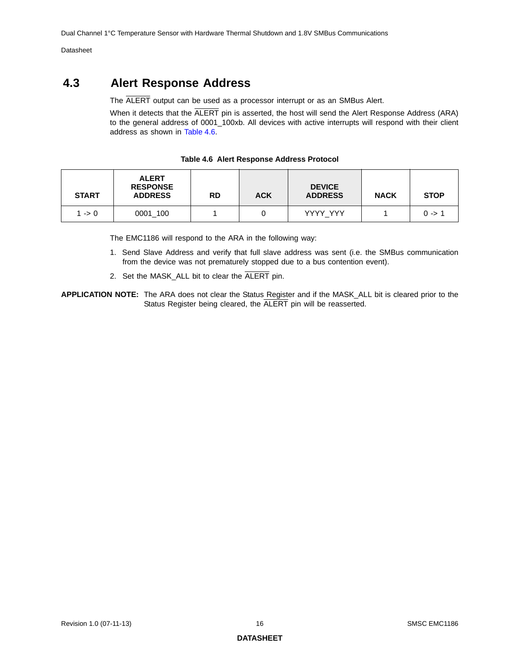## <span id="page-15-0"></span>**4.3 Alert Response Address**

The ALERT output can be used as a processor interrupt or as an SMBus Alert.

When it detects that the ALERT pin is asserted, the host will send the Alert Response Address (ARA) to the general address of 0001\_100xb. All devices with active interrupts will respond with their client address as shown in [Table](#page-15-1) 4.6.

<span id="page-15-1"></span>

| <b>START</b> | <b>ALERT</b><br><b>RESPONSE</b><br><b>ADDRESS</b> | <b>RD</b> | <b>ACK</b> | <b>DEVICE</b><br><b>ADDRESS</b> | <b>NACK</b> | <b>STOP</b> |
|--------------|---------------------------------------------------|-----------|------------|---------------------------------|-------------|-------------|
| 1 -> 0       | 0001 100                                          |           |            | YYYY YYY                        |             | $0 - > 1$   |

**Table 4.6 Alert Response Address Protocol**

The EMC1186 will respond to the ARA in the following way:

- 1. Send Slave Address and verify that full slave address was sent (i.e. the SMBus communication from the device was not prematurely stopped due to a bus contention event).
- 2. Set the MASK\_ALL bit to clear the ALERT pin.
- **APPLICATION NOTE:** The ARA does not clear the Status Register and if the MASK\_ALL bit is cleared prior to the Status Register being cleared, the ALERT pin will be reasserted.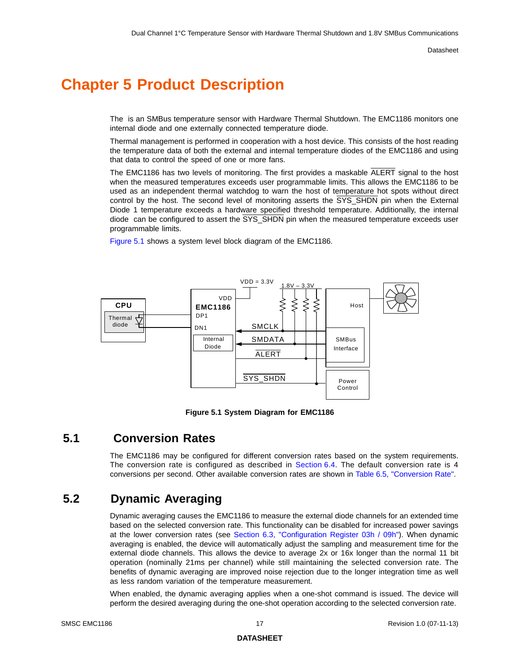# <span id="page-16-0"></span>**Chapter 5 Product Description**

The is an SMBus temperature sensor with Hardware Thermal Shutdown. The EMC1186 monitors one internal diode and one externally connected temperature diode.

Thermal management is performed in cooperation with a host device. This consists of the host reading the temperature data of both the external and internal temperature diodes of the EMC1186 and using that data to control the speed of one or more fans.

The EMC1186 has two levels of monitoring. The first provides a maskable ALERT signal to the host when the measured temperatures exceeds user programmable limits. This allows the EMC1186 to be used as an independent thermal watchdog to warn the host of temperature hot spots without direct control by the host. The second level of monitoring asserts the  $\overline{\text{SYS\_SHDN}}$  pin when the External Diode 1 temperature exceeds a hardware specified threshold temperature. Additionally, the internal diode can be configured to assert the SYS\_SHDN pin when the measured temperature exceeds user programmable limits.

[Figure](#page-16-3) 5.1 shows a system level block diagram of the EMC1186.



**Figure 5.1 System Diagram for EMC1186**

## <span id="page-16-3"></span><span id="page-16-1"></span>**5.1 Conversion Rates**

The EMC1186 may be configured for different conversion rates based on the system requirements. The conversion rate is configured as described in [Section](#page-28-5) 6.4. The default conversion rate is 4 conversions per second. Other available conversion rates are shown in Table [6.5, "Conversion Rate".](#page-28-6)

## <span id="page-16-2"></span>**5.2 Dynamic Averaging**

Dynamic averaging causes the EMC1186 to measure the external diode channels for an extended time based on the selected conversion rate. This functionality can be disabled for increased power savings at the lower conversion rates (see [Section 6.3, "Configuration Register 03h / 09h"\)](#page-27-2). When dynamic averaging is enabled, the device will automatically adjust the sampling and measurement time for the external diode channels. This allows the device to average 2x or 16x longer than the normal 11 bit operation (nominally 21ms per channel) while still maintaining the selected conversion rate. The benefits of dynamic averaging are improved noise rejection due to the longer integration time as well as less random variation of the temperature measurement.

When enabled, the dynamic averaging applies when a one-shot command is issued. The device will perform the desired averaging during the one-shot operation according to the selected conversion rate.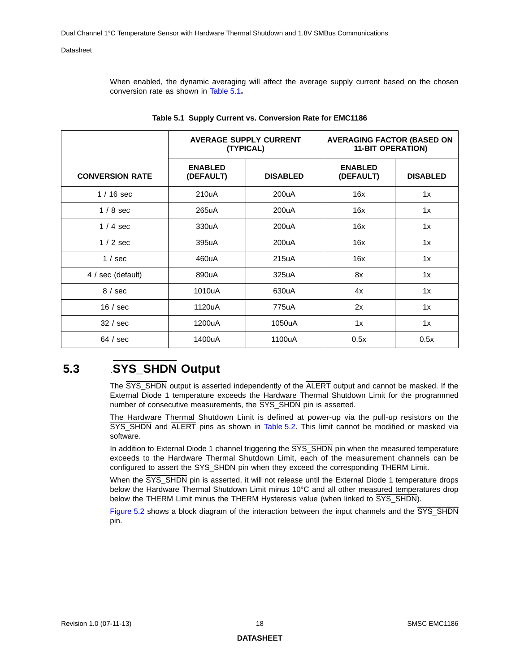When enabled, the dynamic averaging will affect the average supply current based on the chosen conversion rate as shown in [Table](#page-17-1) 5.1**.**

<span id="page-17-1"></span>

|                        |                             | <b>AVERAGE SUPPLY CURRENT</b><br>(TYPICAL) | <b>AVERAGING FACTOR (BASED ON</b><br><b>11-BIT OPERATION)</b> |                 |  |
|------------------------|-----------------------------|--------------------------------------------|---------------------------------------------------------------|-----------------|--|
| <b>CONVERSION RATE</b> | <b>ENABLED</b><br>(DEFAULT) | <b>DISABLED</b>                            | <b>ENABLED</b><br>(DEFAULT)                                   | <b>DISABLED</b> |  |
| $1/16$ sec             | 210uA                       | 200uA                                      | 16x                                                           | 1x              |  |
| $1/8$ sec              | 265uA                       | 200uA                                      | 16x                                                           | 1x              |  |
| $1/4$ sec              | 330uA                       | 200uA                                      | 16x                                                           | 1x              |  |
| $1/2$ sec              | 395uA                       | 200uA                                      | 16x                                                           | 1x              |  |
| $1 / \text{sec}$       | 460uA                       | 215uA                                      | 16x                                                           | 1x              |  |
| 4 / sec (default)      | 890uA                       | 325uA                                      | 8x                                                            | 1x              |  |
| 8/sec                  | 1010uA                      | 630uA                                      | 4x                                                            | 1x              |  |
| 16 / sec               | 1120uA                      | 775uA                                      | 2x                                                            | 1x              |  |
| 32 / sec               | 1200uA                      | 1050uA                                     | 1x                                                            | 1x              |  |
| 64 / sec               | 1400uA                      | 1100uA                                     | 0.5x                                                          | 0.5x            |  |

|  |  |  | Table 5.1 Supply Current vs. Conversion Rate for EMC1186 |  |  |
|--|--|--|----------------------------------------------------------|--|--|
|--|--|--|----------------------------------------------------------|--|--|

# <span id="page-17-0"></span>**5.3** .**SYS\_SHDN Output**

The  $\overline{\text{SYS\_SHDN}}$  output is asserted independently of the ALERT output and cannot be masked. If the External Diode 1 temperature exceeds the Hardware Thermal Shutdown Limit for the programmed number of consecutive measurements, the SYS\_SHDN pin is asserted.

The Hardware Thermal Shutdown Limit is defined at power-up via the pull-up resistors on the SYS\_SHDN and ALERT pins as shown in [Table](#page-18-2) 5.2. This limit cannot be modified or masked via software.

In addition to External Diode 1 channel triggering the  $\overline{\text{SYS\_SHDN}}$  pin when the measured temperature exceeds to the Hardware Thermal Shutdown Limit, each of the measurement channels can be configured to assert the SYS\_SHDN pin when they exceed the corresponding THERM Limit.

When the SYS\_SHDN pin is asserted, it will not release until the External Diode 1 temperature drops below the Hardware Thermal Shutdown Limit minus 10°C and all other measured temperatures drop below the THERM Limit minus the THERM Hysteresis value (when linked to SYS\_SHDN).

[Figure](#page-18-1) 5.2 shows a block diagram of the interaction between the input channels and the SYS\_SHDN pin.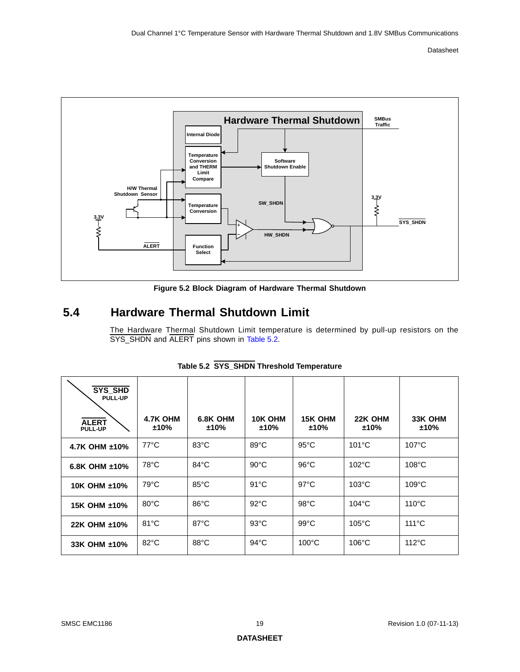

**Figure 5.2 Block Diagram of Hardware Thermal Shutdown**

## <span id="page-18-1"></span><span id="page-18-0"></span>**5.4 Hardware Thermal Shutdown Limit**

The Hardware Thermal Shutdown Limit temperature is determined by pull-up resistors on the SYS\_SHDN and ALERT pins shown in [Table](#page-18-2) 5.2.

<span id="page-18-2"></span>

| SYS_SHD<br><b>PULL-UP</b><br><b>ALERT</b><br><b>PULL-UP</b> | 4.7K OHM<br>±10% | 6.8K OHM<br>±10% | 10K OHM<br>$±10\%$ | <b>15K OHM</b><br>±10% | 22K OHM<br>±10% | 33K OHM<br>±10% |
|-------------------------------------------------------------|------------------|------------------|--------------------|------------------------|-----------------|-----------------|
| 4.7K OHM $±10\%$                                            | $77^{\circ}$ C   | $83^{\circ}$ C   | $89^{\circ}$ C     | $95^{\circ}$ C         | $101^{\circ}$ C | $107^{\circ}$ C |
| 6.8K OHM $±10\%$                                            | $78^{\circ}$ C   | $84^{\circ}$ C   | $90^{\circ}$ C     | $96^{\circ}$ C         | $102^{\circ}$ C | $108^{\circ}$ C |
| 10K OHM ±10%                                                | $79^{\circ}$ C   | $85^{\circ}$ C   | $91^{\circ}$ C     | $97^{\circ}$ C         | $103^{\circ}$ C | $109^{\circ}$ C |
| 15K OHM ±10%                                                | $80^{\circ}$ C   | $86^{\circ}$ C   | $92^{\circ}$ C     | $98^{\circ}$ C         | $104^{\circ}$ C | $110^{\circ}$ C |
| 22K OHM ±10%                                                | $81^{\circ}$ C   | $87^{\circ}$ C   | $93^{\circ}$ C     | $99^{\circ}$ C         | $105^{\circ}$ C | $111^{\circ}$ C |
| 33K OHM ±10%                                                | $82^{\circ}$ C   | $88^{\circ}$ C   | $94^{\circ}$ C     | $100^{\circ}$ C        | $106^{\circ}$ C | $112^{\circ}$ C |

|  |  | Table 5.2 SYS_SHDN Threshold Temperature |
|--|--|------------------------------------------|
|  |  |                                          |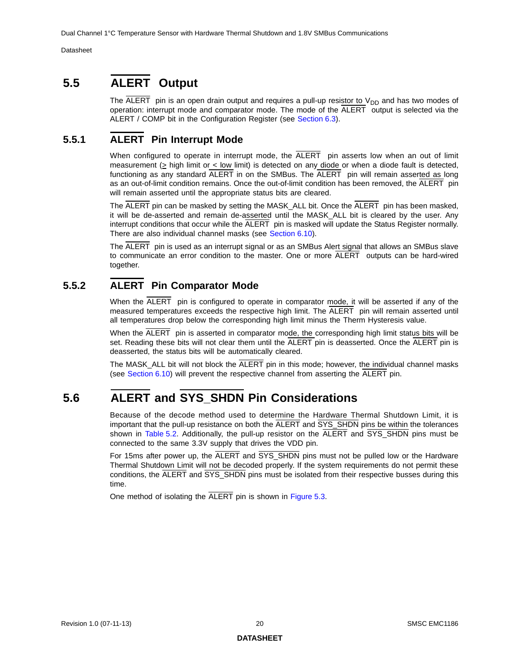# <span id="page-19-0"></span>**5.5 ALERT Output**

The  $\overline{ALERT}$  pin is an open drain output and requires a pull-up resistor to  $V_{DD}$  and has two modes of operation: interrupt mode and comparator mode. The mode of the ALERT output is selected via the ALERT / COMP bit in the Configuration Register (see [Section](#page-27-2) 6.3).

## <span id="page-19-1"></span>**5.5.1 ALERT Pin Interrupt Mode**

<span id="page-19-4"></span>When configured to operate in interrupt mode, the  $\overline{ALERT}$  pin asserts low when an out of limit measurement (> high limit or < low limit) is detected on any diode or when a diode fault is detected, functioning as any standard ALERT in on the SMBus. The ALERT pin will remain asserted as long as an out-of-limit condition remains. Once the out-of-limit condition has been removed, the ALERT pin will remain asserted until the appropriate status bits are cleared.

The ALERT pin can be masked by setting the MASK\_ALL bit. Once the ALERT pin has been masked, it will be de-asserted and remain de-asserted until the MASK\_ALL bit is cleared by the user. Any interrupt conditions that occur while the  $\overline{A \text{LERT}}$  pin is masked will update the Status Register normally. There are also individual channel masks (see [Section](#page-31-4) 6.10).

The ALERT pin is used as an interrupt signal or as an SMBus Alert signal that allows an SMBus slave to communicate an error condition to the master. One or more ALERT outputs can be hard-wired together.

## <span id="page-19-2"></span>**5.5.2 ALERT Pin Comparator Mode**

<span id="page-19-5"></span>When the ALERT pin is configured to operate in comparator mode, it will be asserted if any of the measured temperatures exceeds the respective high limit. The ALERT pin will remain asserted until all temperatures drop below the corresponding high limit minus the Therm Hysteresis value.

When the ALERT pin is asserted in comparator mode, the corresponding high limit status bits will be set. Reading these bits will not clear them until the ALERT pin is deasserted. Once the ALERT pin is deasserted, the status bits will be automatically cleared.

The MASK\_ALL bit will not block the ALERT pin in this mode; however, the individual channel masks (see [Section](#page-31-4) 6.10) will prevent the respective channel from asserting the ALERT pin.

# <span id="page-19-3"></span>**5.6 ALERT and SYS\_SHDN Pin Considerations**

Because of the decode method used to determine the Hardware Thermal Shutdown Limit, it is important that the pull-up resistance on both the ALERT and SYS\_SHDN pins be within the tolerances shown in [Table](#page-18-2) 5.2. Additionally, the pull-up resistor on the ALERT and SYS\_SHDN pins must be connected to the same 3.3V supply that drives the VDD pin.

For 15ms after power up, the ALERT and SYS\_SHDN pins must not be pulled low or the Hardware Thermal Shutdown Limit will not be decoded properly. If the system requirements do not permit these conditions, the ALERT and SYS\_SHDN pins must be isolated from their respective busses during this time.

One method of isolating the ALERT pin is shown in [Figure](#page-20-3) 5.3.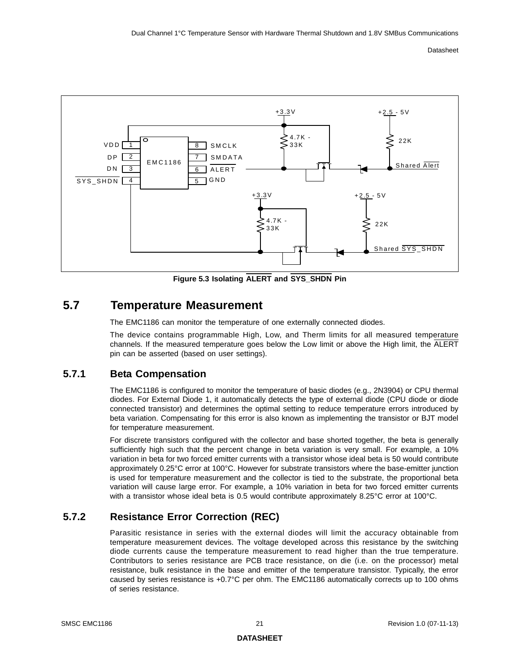

**Figure 5.3 Isolating ALERT and SYS\_SHDN Pin**

## <span id="page-20-3"></span><span id="page-20-0"></span>**5.7 Temperature Measurement**

The EMC1186 can monitor the temperature of one externally connected diodes.

The device contains programmable High, Low, and Therm limits for all measured temperature channels. If the measured temperature goes below the Low limit or above the High limit, the ALERT pin can be asserted (based on user settings).

## <span id="page-20-1"></span>**5.7.1 Beta Compensation**

The EMC1186 is configured to monitor the temperature of basic diodes (e.g., 2N3904) or CPU thermal diodes. For External Diode 1, it automatically detects the type of external diode (CPU diode or diode connected transistor) and determines the optimal setting to reduce temperature errors introduced by beta variation. Compensating for this error is also known as implementing the transistor or BJT model for temperature measurement.

For discrete transistors configured with the collector and base shorted together, the beta is generally sufficiently high such that the percent change in beta variation is very small. For example, a 10% variation in beta for two forced emitter currents with a transistor whose ideal beta is 50 would contribute approximately 0.25°C error at 100°C. However for substrate transistors where the base-emitter junction is used for temperature measurement and the collector is tied to the substrate, the proportional beta variation will cause large error. For example, a 10% variation in beta for two forced emitter currents with a transistor whose ideal beta is 0.5 would contribute approximately 8.25°C error at 100°C.

## <span id="page-20-2"></span>**5.7.2 Resistance Error Correction (REC)**

Parasitic resistance in series with the external diodes will limit the accuracy obtainable from temperature measurement devices. The voltage developed across this resistance by the switching diode currents cause the temperature measurement to read higher than the true temperature. Contributors to series resistance are PCB trace resistance, on die (i.e. on the processor) metal resistance, bulk resistance in the base and emitter of the temperature transistor. Typically, the error caused by series resistance is +0.7°C per ohm. The EMC1186 automatically corrects up to 100 ohms of series resistance.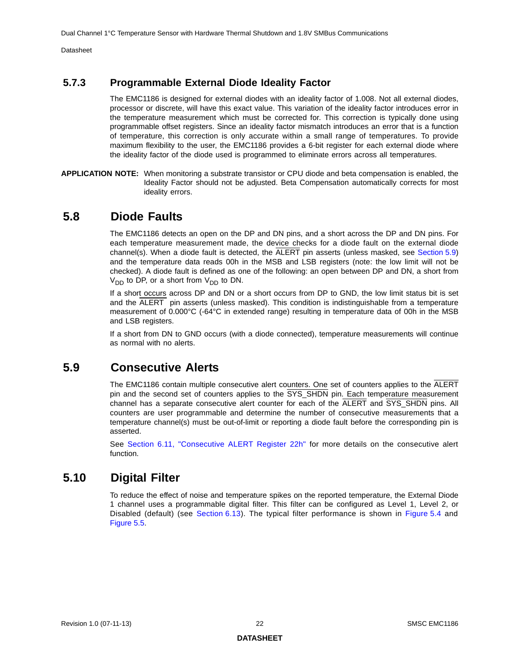## <span id="page-21-0"></span>**5.7.3 Programmable External Diode Ideality Factor**

The EMC1186 is designed for external diodes with an ideality factor of 1.008. Not all external diodes, processor or discrete, will have this exact value. This variation of the ideality factor introduces error in the temperature measurement which must be corrected for. This correction is typically done using programmable offset registers. Since an ideality factor mismatch introduces an error that is a function of temperature, this correction is only accurate within a small range of temperatures. To provide maximum flexibility to the user, the EMC1186 provides a 6-bit register for each external diode where the ideality factor of the diode used is programmed to eliminate errors across all temperatures.

**APPLICATION NOTE:** When monitoring a substrate transistor or CPU diode and beta compensation is enabled, the Ideality Factor should not be adjusted. Beta Compensation automatically corrects for most ideality errors.

## <span id="page-21-1"></span>**5.8 Diode Faults**

The EMC1186 detects an open on the DP and DN pins, and a short across the DP and DN pins. For each temperature measurement made, the device checks for a diode fault on the external diode channel(s). When a diode fault is detected, the ALERT pin asserts (unless masked, see [Section](#page-21-2) 5.9) and the temperature data reads 00h in the MSB and LSB registers (note: the low limit will not be checked). A diode fault is defined as one of the following: an open between DP and DN, a short from  $V_{DD}$  to DP, or a short from  $V_{DD}$  to DN.

If a short occurs across DP and DN or a short occurs from DP to GND, the low limit status bit is set and the ALERT pin asserts (unless masked). This condition is indistinguishable from a temperature measurement of 0.000°C (-64°C in extended range) resulting in temperature data of 00h in the MSB and LSB registers.

If a short from DN to GND occurs (with a diode connected), temperature measurements will continue as normal with no alerts.

## <span id="page-21-2"></span>**5.9 Consecutive Alerts**

The EMC1186 contain multiple consecutive alert counters. One set of counters applies to the ALERT pin and the second set of counters applies to the SYS\_SHDN pin. Each temperature measurement channel has a separate consecutive alert counter for each of the ALERT and SYS\_SHDN pins. All counters are user programmable and determine the number of consecutive measurements that a temperature channel(s) must be out-of-limit or reporting a diode fault before the corresponding pin is asserted.

See [Section 6.11, "Consecutive ALERT Register 22h"](#page-32-2) for more details on the consecutive alert function.

## <span id="page-21-3"></span>**5.10 Digital Filter**

To reduce the effect of noise and temperature spikes on the reported temperature, the External Diode 1 channel uses a programmable digital filter. This filter can be configured as Level 1, Level 2, or Disabled (default) (see [Section](#page-35-2) 6.13). The typical filter performance is shown in [Figure](#page-22-0) 5.4 and [Figure](#page-22-1) 5.5.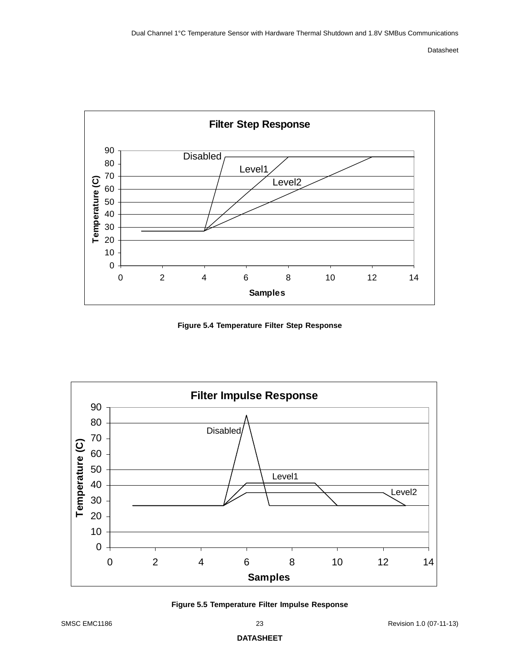

<span id="page-22-2"></span>**Figure 5.4 Temperature Filter Step Response**

<span id="page-22-0"></span>

<span id="page-22-3"></span><span id="page-22-1"></span>**Figure 5.5 Temperature Filter Impulse Response**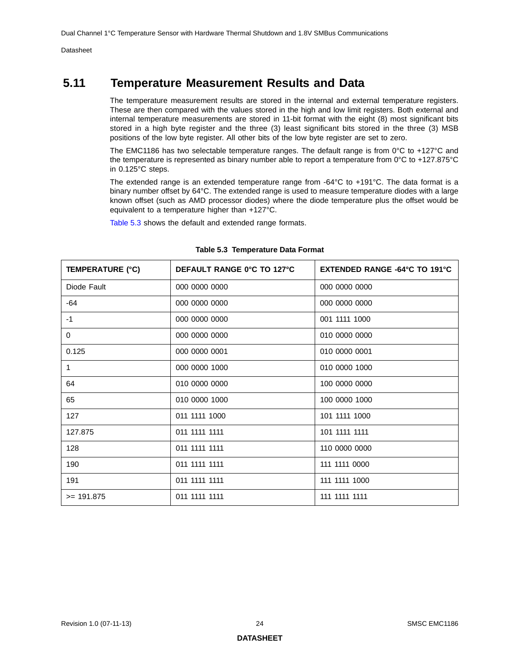## <span id="page-23-0"></span>**5.11 Temperature Measurement Results and Data**

The temperature measurement results are stored in the internal and external temperature registers. These are then compared with the values stored in the high and low limit registers. Both external and internal temperature measurements are stored in 11-bit format with the eight (8) most significant bits stored in a high byte register and the three (3) least significant bits stored in the three (3) MSB positions of the low byte register. All other bits of the low byte register are set to zero.

The EMC1186 has two selectable temperature ranges. The default range is from 0°C to +127°C and the temperature is represented as binary number able to report a temperature from 0°C to +127.875°C in 0.125°C steps.

The extended range is an extended temperature range from -64°C to +191°C. The data format is a binary number offset by 64°C. The extended range is used to measure temperature diodes with a large known offset (such as AMD processor diodes) where the diode temperature plus the offset would be equivalent to a temperature higher than +127°C.

[Table](#page-23-1) 5.3 shows the default and extended range formats.

<span id="page-23-1"></span>

| <b>TEMPERATURE (°C)</b> | DEFAULT RANGE 0°C TO 127°C | EXTENDED RANGE -64°C TO 191°C |  |  |  |  |
|-------------------------|----------------------------|-------------------------------|--|--|--|--|
| Diode Fault             | 000 0000 0000              | 000 0000 0000                 |  |  |  |  |
| $-64$                   | 000 0000 0000              | 000 0000 0000                 |  |  |  |  |
| $-1$                    | 000 0000 0000              | 001 1111 1000                 |  |  |  |  |
| 0                       | 000 0000 0000              | 010 0000 0000                 |  |  |  |  |
| 0.125                   | 000 0000 0001              | 010 0000 0001                 |  |  |  |  |
| 1                       | 000 0000 1000              | 010 0000 1000                 |  |  |  |  |
| 64                      | 010 0000 0000              | 100 0000 0000                 |  |  |  |  |
| 65                      | 010 0000 1000              | 100 0000 1000                 |  |  |  |  |
| 127                     | 011 1111 1000              | 101 1111 1000                 |  |  |  |  |
| 127.875                 | 011 1111 1111              | 101 1111 1111                 |  |  |  |  |
| 128                     | 011 1111 1111              | 110 0000 0000                 |  |  |  |  |
| 190                     | 011 1111 1111              | 111 1111 0000                 |  |  |  |  |
| 191                     | 011 1111 1111              | 111 1111 1000                 |  |  |  |  |
| $>= 191.875$            | 011 1111 1111              | 111 1111 1111                 |  |  |  |  |

#### <span id="page-23-2"></span>**Table 5.3 Temperature Data Format**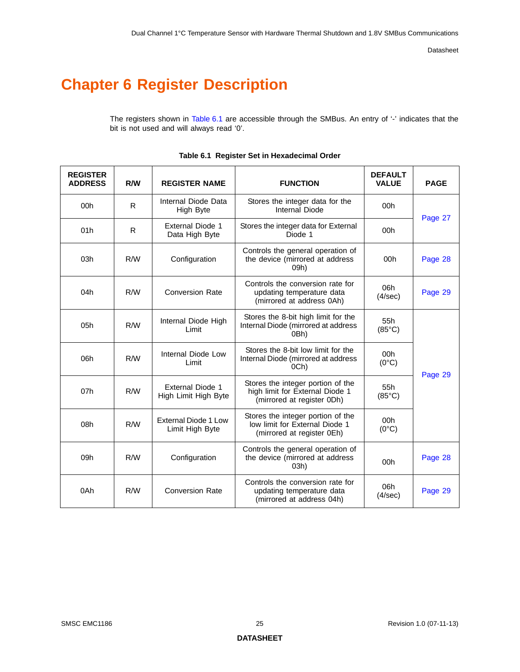# <span id="page-24-0"></span>**Chapter 6 Register Description**

The registers shown in [Table](#page-24-1) 6.1 are accessible through the SMBus. An entry of '-' indicates that the bit is not used and will always read '0'.

<span id="page-24-1"></span>

| <b>REGISTER</b><br><b>ADDRESS</b> | R/W                                 | <b>REGISTER NAME</b>                            | <b>FUNCTION</b>                                                                                    | <b>DEFAULT</b><br><b>VALUE</b> | <b>PAGE</b> |  |
|-----------------------------------|-------------------------------------|-------------------------------------------------|----------------------------------------------------------------------------------------------------|--------------------------------|-------------|--|
| 00h                               | $\mathsf{R}$                        | Internal Diode Data<br>High Byte                | Stores the integer data for the<br><b>Internal Diode</b>                                           | 00h                            |             |  |
| 01h                               | R                                   | <b>External Diode 1</b><br>Data High Byte       | Stores the integer data for External<br>Diode 1                                                    | 00h                            | Page 27     |  |
| 03h                               | R/W                                 | Configuration                                   | Controls the general operation of<br>the device (mirrored at address<br>09h)                       | 00h                            | Page 28     |  |
| 04h                               | R/W                                 | <b>Conversion Rate</b>                          | Controls the conversion rate for<br>updating temperature data<br>(mirrored at address 0Ah)         | 06h<br>(4/sec)                 | Page 29     |  |
| 05h                               | Internal Diode High<br>R/W<br>Limit |                                                 | Stores the 8-bit high limit for the<br>Internal Diode (mirrored at address<br>0Bh)                 | 55h<br>$(85^{\circ}C)$         |             |  |
| 06h                               | R/W                                 | Internal Diode Low<br>Limit                     | Stores the 8-bit low limit for the<br>Internal Diode (mirrored at address<br>OCh)                  | 00h<br>$(0^{\circ}C)$          |             |  |
| 07h                               | R/W                                 | <b>External Diode 1</b><br>High Limit High Byte | Stores the integer portion of the<br>high limit for External Diode 1<br>(mirrored at register 0Dh) | 55h<br>$(85^{\circ}C)$         | Page 29     |  |
| 08h                               | R/W                                 | <b>External Diode 1 Low</b><br>Limit High Byte  | Stores the integer portion of the<br>low limit for External Diode 1<br>(mirrored at register 0Eh)  | 00h<br>$(0^{\circ}C)$          |             |  |
| 09h                               | R/W                                 | Configuration                                   | Controls the general operation of<br>the device (mirrored at address<br>03h)                       |                                | Page 28     |  |
| 0Ah                               | R/W                                 | <b>Conversion Rate</b>                          | Controls the conversion rate for<br>updating temperature data<br>(mirrored at address 04h)         | 06h<br>(4/sec)                 | Page 29     |  |

#### **Table 6.1 Register Set in Hexadecimal Order**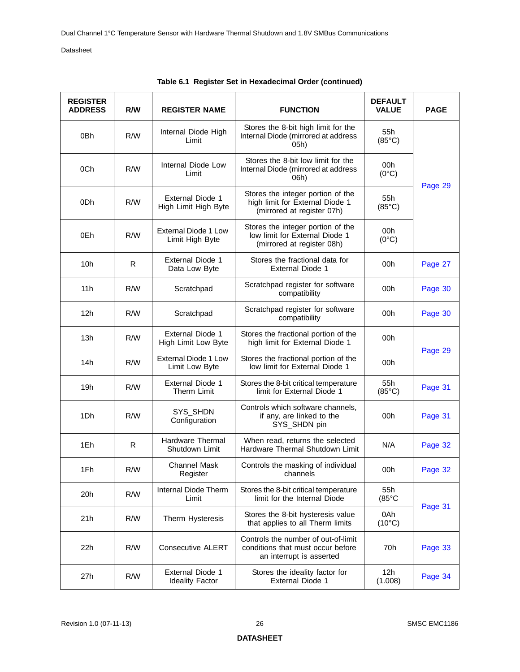| <b>REGISTER</b><br><b>ADDRESS</b> | R/W                     | <b>REGISTER NAME</b>                              | <b>FUNCTION</b>                                                                                      | <b>DEFAULT</b><br><b>VALUE</b> | <b>PAGE</b> |  |
|-----------------------------------|-------------------------|---------------------------------------------------|------------------------------------------------------------------------------------------------------|--------------------------------|-------------|--|
| 0 <sub>Bh</sub>                   | R/W                     | Internal Diode High<br>Limit                      | Stores the 8-bit high limit for the<br>Internal Diode (mirrored at address<br>05h)                   | 55h<br>$(85^{\circ}C)$         |             |  |
| 0Ch                               | R/W                     | Internal Diode Low<br>Limit                       | Stores the 8-bit low limit for the<br>Internal Diode (mirrored at address<br>06h)                    | 00h<br>$(0^{\circ}C)$          |             |  |
| 0Dh                               | R/W                     | <b>External Diode 1</b><br>High Limit High Byte   | Stores the integer portion of the<br>high limit for External Diode 1<br>(mirrored at register 07h)   | 55h<br>$(85^{\circ}C)$         | Page 29     |  |
| 0Eh                               | R/W                     | External Diode 1 Low<br>Limit High Byte           | Stores the integer portion of the<br>low limit for External Diode 1<br>(mirrored at register 08h)    | 00h<br>$(0^{\circ}C)$          |             |  |
| 10 <sub>h</sub>                   | R                       | <b>External Diode 1</b><br>Data Low Byte          | Stores the fractional data for<br><b>External Diode 1</b>                                            | 00h                            | Page 27     |  |
| 11h                               | R/W                     | Scratchpad                                        | Scratchpad register for software<br>compatibility                                                    | 00h                            | Page 30     |  |
| 12h                               | R/W                     | Scratchpad                                        | Scratchpad register for software<br>compatibility                                                    | 00h                            | Page 30     |  |
| 13h                               | R/W                     | <b>External Diode 1</b><br>High Limit Low Byte    | Stores the fractional portion of the<br>high limit for External Diode 1                              | 00h                            |             |  |
| 14h                               | R/W                     | External Diode 1 Low<br>Limit Low Byte            | Stores the fractional portion of the<br>low limit for External Diode 1                               | 00h                            | Page 29     |  |
| 19h                               | R/W                     | <b>External Diode 1</b><br><b>Therm Limit</b>     | Stores the 8-bit critical temperature<br>limit for External Diode 1                                  | 55h<br>$(85^{\circ}C)$         | Page 31     |  |
| 1Dh                               | R/W                     | SYS_SHDN<br>Configuration                         | Controls which software channels,<br>if any, are linked to the<br>SYS_SHDN pin                       | 00h                            | Page 31     |  |
| 1Eh                               | R                       | <b>Hardware Thermal</b><br>Shutdown Limit         | When read, returns the selected<br>Hardware Thermal Shutdown Limit                                   | N/A                            | Page 32     |  |
| 1Fh                               | R/W                     | <b>Channel Mask</b><br>Register                   | Controls the masking of individual<br>cnanneis                                                       | 00h                            | Page 32     |  |
| 20h                               | R/W                     | Internal Diode Therm<br>Limit                     | Stores the 8-bit critical temperature<br>limit for the Internal Diode                                | 55h<br>$(85^{\circ}C)$         |             |  |
| 21h                               | R/W<br>Therm Hysteresis |                                                   | Stores the 8-bit hysteresis value<br>that applies to all Therm limits                                | 0Ah<br>$(10^{\circ}C)$         | Page 31     |  |
| 22h                               | R/W                     | <b>Consecutive ALERT</b>                          | Controls the number of out-of-limit<br>conditions that must occur before<br>an interrupt is asserted | 70h                            | Page 33     |  |
| 27h                               | R/W                     | <b>External Diode 1</b><br><b>Ideality Factor</b> | Stores the ideality factor for<br><b>External Diode 1</b>                                            | 12h<br>(1.008)                 | Page 34     |  |

|  |  |  | Table 6.1 Register Set in Hexadecimal Order (continued) |  |  |
|--|--|--|---------------------------------------------------------|--|--|
|--|--|--|---------------------------------------------------------|--|--|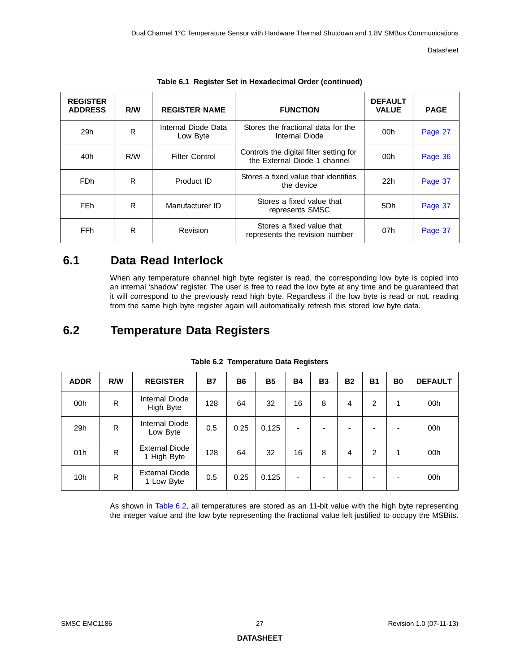| <b>REGISTER</b><br><b>ADDRESS</b> | R/W | <b>REGISTER NAME</b>            | <b>FUNCTION</b>                                                         | <b>DEFAULT</b><br><b>VALUE</b> | <b>PAGE</b> |
|-----------------------------------|-----|---------------------------------|-------------------------------------------------------------------------|--------------------------------|-------------|
| 29h                               | R   | Internal Diode Data<br>Low Byte | Stores the fractional data for the<br>Internal Diode                    | 00h                            | Page 27     |
| 40h                               | R/W | <b>Filter Control</b>           | Controls the digital filter setting for<br>the External Diode 1 channel | 00h                            | Page 36     |
| <b>FDh</b>                        | R   | Product ID                      | Stores a fixed value that identifies<br>the device                      | 22h                            | Page 37     |
| <b>FEh</b>                        | R   | Manufacturer ID                 | Stores a fixed value that<br>represents SMSC                            | 5Dh                            | Page 37     |
| <b>FFh</b>                        | R   | Revision                        | Stores a fixed value that<br>represents the revision number             | 07h                            | Page 37     |

|  |  | Table 6.1 Register Set in Hexadecimal Order (continued) |
|--|--|---------------------------------------------------------|
|--|--|---------------------------------------------------------|

## <span id="page-26-0"></span>**6.1 Data Read Interlock**

When any temperature channel high byte register is read, the corresponding low byte is [copied in](#page-26-1)to an internal 'shadow' register. The user is free to read the low byte at any time and be guaranteed that it will correspond to the previously read high byte. Regardless if the low byte is read or not, reading from the same high byte register again will automatically refresh this stored low byte data.

# <span id="page-26-1"></span>**6.2 Temperature Data Registers**

<span id="page-26-2"></span>

| <b>ADDR</b>     | R/W | <b>REGISTER</b>                      | <b>B7</b> | <b>B6</b> | <b>B5</b> | <b>B4</b> | <b>B3</b>                | <b>B2</b> | <b>B1</b>      | B <sub>0</sub> | <b>DEFAULT</b> |
|-----------------|-----|--------------------------------------|-----------|-----------|-----------|-----------|--------------------------|-----------|----------------|----------------|----------------|
| 00h             | R   | Internal Diode<br>High Byte          | 128       | 64        | 32        | 16        | 8                        | 4         | 2              | 1              | 00h            |
| 29h             | R   | Internal Diode<br>Low Byte           | 0.5       | 0.25      | 0.125     | ٠         | $\overline{\phantom{0}}$ |           |                | -              | 00h            |
| 01h             | R   | <b>External Diode</b><br>1 High Byte | 128       | 64        | 32        | 16        | 8                        | 4         | $\overline{2}$ | 1              | 00h            |
| 10 <sub>h</sub> | R   | <b>External Diode</b><br>1 Low Byte  | 0.5       | 0.25      | 0.125     | ٠         | $\overline{\phantom{0}}$ |           |                | -              | 00h            |

#### **Table 6.2 Temperature Data Registers**

As shown in [Table](#page-26-2) 6.2, all temperatures are stored as an 11-bit value with the high byte r[epresentin](#page-28-1)g the integer value and the low byte representing the fractional value left justified to occupy the MSBits.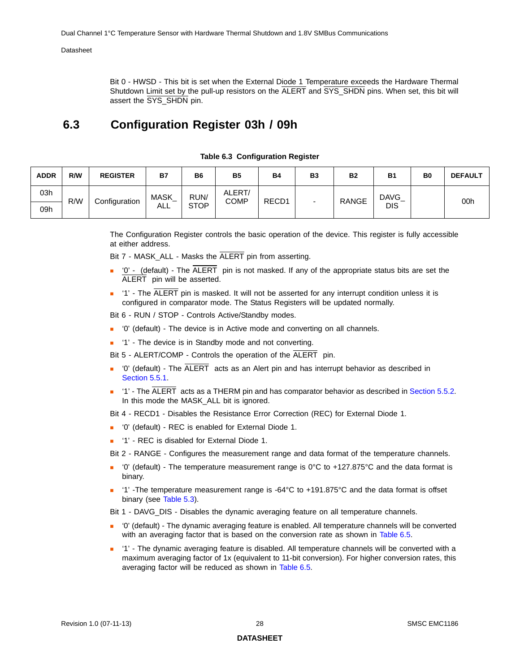<span id="page-27-2"></span>Bit 0 - HWSD - This bit is set when the External Diode 1 Temperature exceeds the Hardware Thermal Shutdown Limit set by the pull-up resistors on the ALERT and SYS\_SHDN pins. When set, this bit will assert the SYS\_SHDN pin.

## <span id="page-27-0"></span>**6.3 Configuration Register 03h / 09h**

<span id="page-27-1"></span>

| <b>ADDR</b> | R/W           | <b>REGISTER</b> | <b>B7</b>   | <b>B6</b>   | <b>B5</b> | <b>B4</b> | B <sub>3</sub> | <b>B2</b>  | <b>B1</b>   | B <sub>0</sub> | <b>DEFAULT</b> |
|-------------|---------------|-----------------|-------------|-------------|-----------|-----------|----------------|------------|-------------|----------------|----------------|
| 03h         |               |                 | <b>MASK</b> | RUN/        | ALERT/    |           |                |            | <b>DAVG</b> |                | 00h            |
| R/W<br>09h  | Configuration | ALL             | <b>STOP</b> | <b>COMP</b> | RECD1     |           | <b>RANGE</b>   | <b>DIS</b> |             |                |                |

#### **Table 6.3 Configuration Register**

The Configuration Register controls the basic operation of the device. This register is fully accessible at either address.

Bit 7 - MASK\_ALL - Masks the ALERT pin from asserting.

- '0' (default) The  $\overline{ALERT}$  pin is not masked. If any of the appropriate status bits are set the ALERT pin will be asserted.
- '1' The ALERT pin is masked. It will not be asserted for any interrupt condition unless it is configured in comparator mode. The Status Registers will be updated normally.

Bit 6 - RUN / STOP - Controls Active/Standby modes.

- '0' (default) The device is in Active mode and converting on all channels.
- '1' The device is in Standby mode and not converting.

Bit 5 - ALERT/COMP - Controls the operation of the ALERT pin.

- $'$ 0' (default) The  $\overline{\text{ALERT}}$  acts as an Alert pin and has interrupt behavior as described in [Section 5.5.1](#page-19-4).
- '1' The ALERT acts as a THERM pin and has comparator behavior as described in [Section 5.5.2.](#page-19-5) In this mode the MASK\_ALL bit is ignored.

Bit 4 - RECD1 - Disables the Resistance Error Correction (REC) for External Diode 1.

- '0' (default) REC is enabled for External Diode 1.
- '1' REC is disabled for External Diode 1.

Bit 2 - RANGE - Configures the measurement range and data format of the temperature channels.

- '0' (default) The temperature measurement range is 0°C to +127.875°C and the data format is binary.
- '1' -The temperature measurement range is -64°C to +191.875°C and the data format is offset binary (see [Table 5.3\)](#page-23-2).

Bit 1 - DAVG\_DIS - Disables the dynamic averaging feature on all temperature channels.

- '0' (default) The dynamic averaging feature is enabled. All temperature channels will be converted with an averaging factor that is based on the conversion rate as shown in [Table 6.5.](#page-28-3)
- '1' The dynamic averaging feature is disabled. All temperature channels will be converted with a maximum averaging factor of 1x (equivalent to 11-bit conversion). For higher conversion rates, this averaging factor will be reduced as shown in [Table 6.5.](#page-28-3)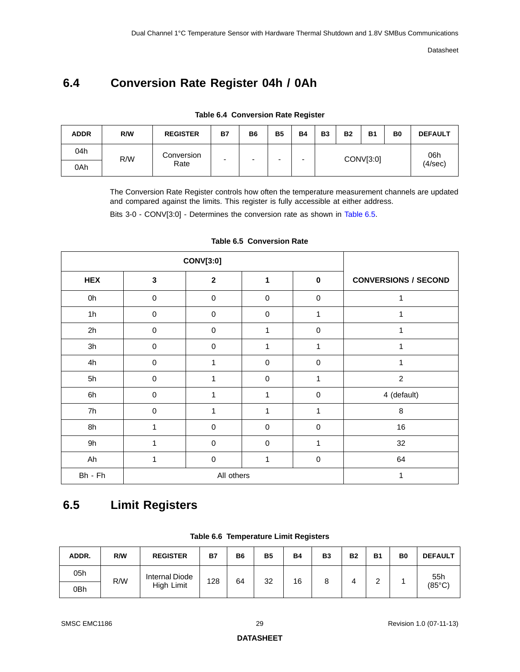# <span id="page-28-5"></span><span id="page-28-0"></span>**6.4 Conversion Rate Register 04h / 0Ah**

<span id="page-28-2"></span>

| <b>ADDR</b> | R/W | <b>REGISTER</b> | B7 | B <sub>6</sub> | <b>B5</b> | <b>B4</b> | <b>B3</b> | <b>B2</b> | <b>B1</b> | B <sub>0</sub> | <b>DEFAULT</b> |
|-------------|-----|-----------------|----|----------------|-----------|-----------|-----------|-----------|-----------|----------------|----------------|
| 04h         |     | Conversion      | -  | -              | -         | -         |           |           | 06h       |                |                |
| 0Ah         | R/W | Rate            |    |                |           |           | CONV[3:0] |           |           |                | (4/sec)        |

**Table 6.4 Conversion Rate Register**

The Conversion Rate Register controls how often the temperature measurement channels are updated and compared against the limits. This register is fully accessible at either address.

Bits 3-0 - CONV[3:0] - Determines the conversion rate as shown in [Table](#page-28-3) 6.5.

<span id="page-28-3"></span>

|            |              | <b>CONV[3:0]</b> |                  |           |                             |
|------------|--------------|------------------|------------------|-----------|-----------------------------|
| <b>HEX</b> | $\mathbf{3}$ | $\mathbf{2}$     | 1                | $\pmb{0}$ | <b>CONVERSIONS / SECOND</b> |
| 0h         | $\mathbf 0$  | $\boldsymbol{0}$ | $\mathbf 0$      | 0         | 1                           |
| 1h         | $\pmb{0}$    | $\mathbf 0$      | $\mathbf 0$      | 1         | 1                           |
| 2h         | $\mathbf 0$  | $\pmb{0}$        | 1                | $\pmb{0}$ | 1                           |
| 3h         | $\mathbf 0$  | $\mathbf 0$      | 1                | 1         | 1                           |
| 4h         | $\mathbf 0$  | 1                | $\boldsymbol{0}$ | 0         | 1                           |
| 5h         | $\mathbf 0$  | 1                | $\mathbf 0$      | 1         | $\overline{c}$              |
| 6h         | $\pmb{0}$    | 1                | 1                | $\pmb{0}$ | 4 (default)                 |
| 7h         | $\pmb{0}$    | 1                | 1                | 1         | 8                           |
| 8h         | 1            | $\mathbf 0$      | $\mathbf 0$      | $\pmb{0}$ | 16                          |
| 9h         | 1            | $\boldsymbol{0}$ | $\mathbf 0$      | 1         | 32                          |
| Ah         | 1            | $\mathbf 0$      | 1                | $\pmb{0}$ | 64                          |
| Bh - Fh    |              | 1                |                  |           |                             |

#### <span id="page-28-6"></span>**Table 6.5 Conversion Rate**

# <span id="page-28-1"></span>**6.5 Limit Registers**

<span id="page-28-4"></span>

| ADDR. | R/W | <b>REGISTER</b>       | <b>B7</b> | B6 | <b>B5</b> | <b>B4</b> | <b>B3</b> | <b>B2</b> | <b>B1</b> | B <sub>0</sub> | <b>DEFAULT</b>  |
|-------|-----|-----------------------|-----------|----|-----------|-----------|-----------|-----------|-----------|----------------|-----------------|
| 05h   |     | <b>Internal Diode</b> | 128       | 64 | 32        | 16        | 8         |           |           |                | 55h             |
| 0Bh   | R/W | High Limit            |           |    |           |           |           |           | -         |                | $(85^{\circ}C)$ |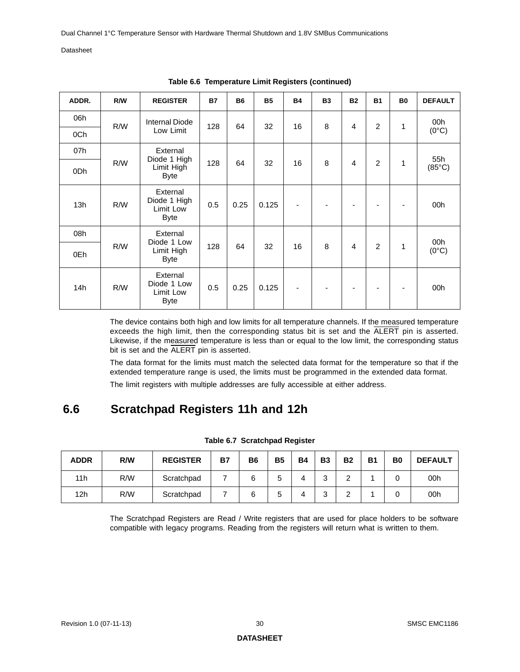| ADDR. | R/W | <b>REGISTER</b>                                      | <b>B7</b> | <b>B6</b> | <b>B5</b> | <b>B4</b>                | <b>B3</b> | <b>B2</b> | <b>B1</b>      | <b>B0</b> | <b>DEFAULT</b>  |
|-------|-----|------------------------------------------------------|-----------|-----------|-----------|--------------------------|-----------|-----------|----------------|-----------|-----------------|
| 06h   | R/W | <b>Internal Diode</b>                                | 128       | 64        | 32        | 16                       | 8         | 4         | $\overline{2}$ | 1         | 00h             |
| 0Ch   |     | Low Limit                                            |           |           |           |                          |           |           |                |           | $(0^{\circ}C)$  |
| 07h   |     | External                                             |           |           |           |                          |           |           |                |           | 55h             |
| 0Dh   | R/W | Diode 1 High<br>Limit High<br><b>Byte</b>            | 128       | 64        | 32        | 16                       | 8         | 4         | $\overline{2}$ | 1         | $(85^{\circ}C)$ |
| 13h   | R/W | External<br>Diode 1 High<br>Limit Low<br><b>Byte</b> | 0.5       | 0.25      | 0.125     | $\overline{\phantom{a}}$ |           | ٠         | $\blacksquare$ | ٠         | 00h             |
| 08h   |     | External<br>Diode 1 Low                              |           |           |           |                          |           |           |                |           | 00h             |
| 0Eh   | R/W | Limit High<br><b>Byte</b>                            | 128       | 64        | 32        | 16                       | 8         | 4         | $\overline{2}$ | 1         | $(0^{\circ}C)$  |
| 14h   | R/W | External<br>Diode 1 Low<br>Limit Low<br><b>Byte</b>  | 0.5       | 0.25      | 0.125     | ۰                        |           | ۰         | -              |           | 00h             |

**Table 6.6 Temperature Limit Registers (continued)** 

The device contains both high and low limits for all temperature channels. If the measured temperature exceeds the high limit, then the corresponding status bit is set and the ALERT pin is asserted. Likewise, if the measured temperature is less than or equal to the low limit, the corresponding status bit is set and the ALERT pin is asserted.

The data format for the limits must match the selected data format for the temperature so that if the extended temperature range is used, the limits must be programmed in the extended data format.

The limit registers with multiple addresses are fully accessible at either address.

## <span id="page-29-0"></span>**6.6 Scratchpad Registers 11h and 12h**

<span id="page-29-1"></span>

| <b>ADDR</b>     | R/W | <b>REGISTER</b> | <b>B7</b> | <b>B6</b> | <b>B5</b> | <b>B4</b> | <b>B3</b> | <b>B2</b> | <b>B1</b> | B <sub>0</sub> | <b>DEFAULT</b> |
|-----------------|-----|-----------------|-----------|-----------|-----------|-----------|-----------|-----------|-----------|----------------|----------------|
| 11h             | R/W | Scratchpad      |           | 6         | 5         |           | ົ<br>ت    | ⌒         |           |                | 00h            |
| 12 <sub>h</sub> | R/W | Scratchpad      |           | 6         |           |           | っ<br>ບ    | ົ         |           |                | 00h            |

#### **Table 6.7 Scratchpad Register**

The Scratchpad Registers are Read / Write registers that are used for place holders to be software compatible with legacy programs. Reading from the registers will return what is written to them.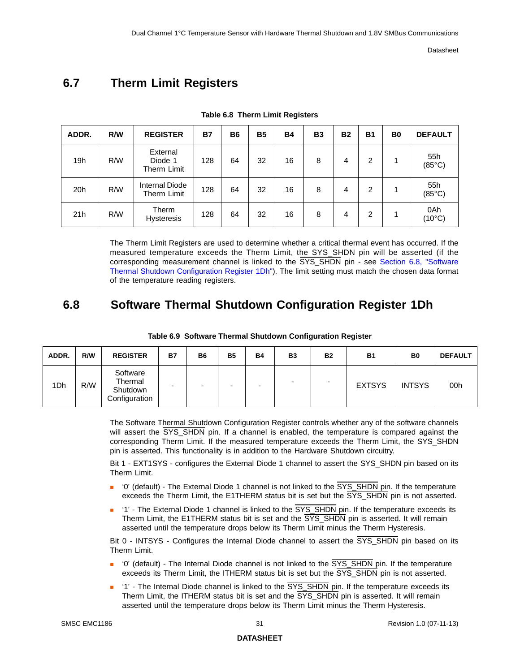# <span id="page-30-0"></span>**6.7 Therm Limit Registers**

<span id="page-30-2"></span>

| ADDR. | R/W | <b>REGISTER</b>                    | <b>B7</b> | <b>B6</b> | <b>B5</b> | <b>B4</b> | <b>B3</b> | <b>B2</b> | <b>B1</b> | B <sub>0</sub> | <b>DEFAULT</b>         |
|-------|-----|------------------------------------|-----------|-----------|-----------|-----------|-----------|-----------|-----------|----------------|------------------------|
| 19h   | R/W | External<br>Diode 1<br>Therm Limit | 128       | 64        | 32        | 16        | 8         | 4         | 2         |                | 55h<br>$(85^{\circ}C)$ |
| 20h   | R/W | Internal Diode<br>Therm Limit      | 128       | 64        | 32        | 16        | 8         | 4         | 2         |                | 55h<br>$(85^{\circ}C)$ |
| 21h   | R/W | Therm<br><b>Hysteresis</b>         | 128       | 64        | 32        | 16        | 8         | 4         | 2         |                | 0Ah<br>$(10^{\circ}C)$ |

**Table 6.8 Therm Limit Registers** 

The Therm Limit Registers are used to determine whether a critical thermal event has occurred. If the measured temperature exceeds the Therm Limit, the SYS\_SHDN pin will be asserted (if the corresponding measurement channel is linked to the SYS\_SHDN pin - see [Section 6.8, "Software](#page-30-1)  [Thermal Shutdown Configuration Register 1Dh"](#page-30-1)). The limit setting must match the chosen data format of the temperature reading registers.

## <span id="page-30-1"></span>**6.8 Software Thermal Shutdown Configuration Register 1Dh**

<span id="page-30-3"></span>

| ADDR. | R/W | <b>REGISTER</b>                                  | Β7 | B <sub>6</sub>           | <b>B5</b> | <b>B4</b> | B <sub>3</sub> | <b>B2</b> | <b>B1</b>     | B <sub>0</sub> | <b>DEFAULT</b> |
|-------|-----|--------------------------------------------------|----|--------------------------|-----------|-----------|----------------|-----------|---------------|----------------|----------------|
| 1Dh   | R/W | Software<br>Thermal<br>Shutdown<br>Configuration | -  | $\overline{\phantom{0}}$ | -         | -         |                |           | <b>EXTSYS</b> | <b>INTSYS</b>  | 00h            |

#### **Table 6.9 Software Thermal Shutdown Configuration Register**

The Software Thermal Shutdown Configuration Register controls whether any of the software channels will assert the SYS SHDN pin. If a channel is enabled, the temperature is compared against the corresponding Therm Limit. If the measured temperature exceeds the Therm Limit, the SYS\_SHDN pin is asserted. This functionality is in addition to the Hardware Shutdown circuitry.

Bit 1 - EXT1SYS - configures the External Diode 1 channel to assert the SYS\_SHDN pin based on its Therm Limit.

- '0' (default) The External Diode 1 channel is not linked to the SYS\_SHDN pin. If the temperature exceeds the Therm Limit, the E1THERM status bit is set but the SYS\_SHDN pin is not asserted.
- '1' The External Diode 1 channel is linked to the SYS\_SHDN pin. If the temperature exceeds its Therm Limit, the E1THERM status bit is set and the SYS\_SHDN pin is asserted. It will remain asserted until the temperature drops below its Therm Limit minus the Therm Hysteresis.

Bit 0 - INTSYS - Configures the Internal Diode channel to assert the SYS SHDN pin based on its Therm Limit.

- '0' (default) The Internal Diode channel is not linked to the SYS\_SHDN pin. If the temperature exceeds its Therm Limit, the ITHERM status bit is set but the SYS\_SHDN pin is not asserted.
- '1' The Internal Diode channel is linked to the SYS\_SHDN pin. If the temperature exceeds its Therm Limit, the ITHERM status bit is set and the SYS\_SHDN pin is asserted. It will remain asserted until the temperature drops below its Therm Limit minus the Therm Hysteresis.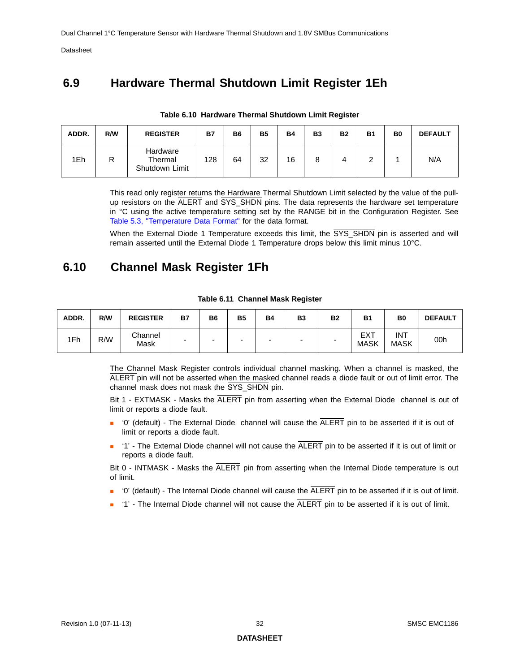## <span id="page-31-0"></span>**6.9 Hardware Thermal Shutdown Limit Register 1Eh**

<span id="page-31-2"></span>

| ADDR. | R/W | <b>REGISTER</b>                       | <b>B7</b> | B <sub>6</sub> | <b>B5</b> | <b>B4</b> | <b>B3</b> | <b>B2</b> | <b>B1</b> | B <sub>0</sub> | <b>DEFAULT</b> |
|-------|-----|---------------------------------------|-----------|----------------|-----------|-----------|-----------|-----------|-----------|----------------|----------------|
| 1Eh   | ĸ   | Hardware<br>Thermal<br>Shutdown Limit | 128       | 64             | 32        | 16        |           |           |           |                | N/A            |

#### **Table 6.10 Hardware Thermal Shutdown Limit Register**

This read only register returns the Hardware Thermal Shutdown Limit selected by the value of the pullup resistors on the ALERT and SYS\_SHDN pins. The data represents the hardware set temperature in °C using the active temperature setting set by the RANGE bit in the Configuration Register. See Table [5.3, "Temperature Data Format"](#page-23-2) for the data format.

<span id="page-31-4"></span>When the External Diode 1 Temperature exceeds this limit, the SYS\_SHDN pin is asserted and will remain asserted until the External Diode 1 Temperature drops below this limit minus 10°C.

## <span id="page-31-1"></span>**6.10 Channel Mask Register 1Fh**

| Table 6.11 Channel Mask Register |  |  |  |
|----------------------------------|--|--|--|
|----------------------------------|--|--|--|

<span id="page-31-3"></span>

| ADDR. | R/W | <b>REGISTER</b> | <b>B7</b> | B <sub>6</sub> | <b>B5</b> | <b>B4</b> | B <sub>3</sub> | <b>B2</b> | <b>B1</b>   | B <sub>0</sub>            | <b>DEFAULT</b> |
|-------|-----|-----------------|-----------|----------------|-----------|-----------|----------------|-----------|-------------|---------------------------|----------------|
| 1Fh   | R/W | Channel<br>Mask | -         | -              |           | -         |                | -         | EXT<br>MASK | <b>INT</b><br><b>MASK</b> | 00h            |

The Channel Mask Register controls individual channel masking. When a channel is masked, the ALERT pin will not be asserted when the masked channel reads a diode fault or out of limit error. The channel mask does not mask the SYS\_SHDN pin.

Bit 1 - EXTMASK - Masks the ALERT pin from asserting when the External Diode channel is out of limit or reports a diode fault.

- '0' (default) The External Diode channel will cause the ALERT pin to be asserted if it is out of limit or reports a diode fault.
- '1' The External Diode channel will not cause the ALERT pin to be asserted if it is out of limit or reports a diode fault.

Bit 0 - INTMASK - Masks the ALERT pin from asserting when the Internal Diode temperature is out of limit.

- '0' (default) The Internal Diode channel will cause the ALERT pin to be asserted if it is out of limit.
- $\blacksquare$  '1' The Internal Diode channel will not cause the  $\overline{ALERT}$  pin to be asserted if it is out of limit.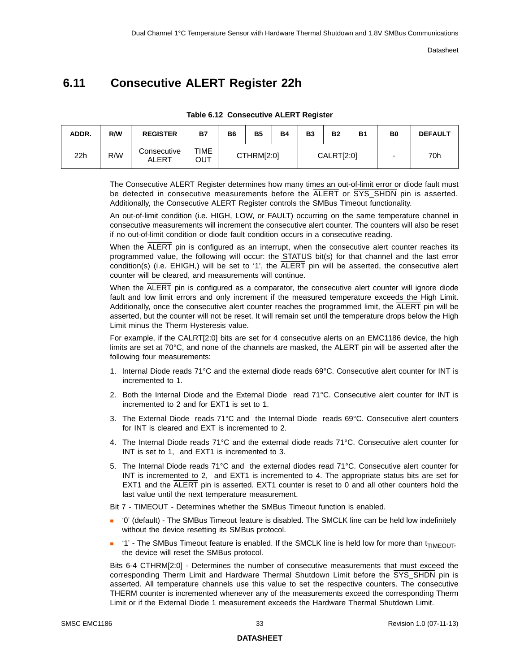# <span id="page-32-2"></span><span id="page-32-0"></span>**6.11 Consecutive ALERT Register 22h**

<span id="page-32-1"></span>

| ADDR. | R/W | <b>REGISTER</b>      | <b>B7</b>   | B <sub>6</sub> | <b>B5</b>  | <b>B4</b> | <b>B3</b> | <b>B2</b>  | <b>B1</b> | B <sub>0</sub> | <b>DEFAULT</b> |
|-------|-----|----------------------|-------------|----------------|------------|-----------|-----------|------------|-----------|----------------|----------------|
| 22h   | R/W | Consecutive<br>ALERT | TIME<br>Ουτ |                | CTHRM[2:0] |           |           | CALRT[2:0] |           | ۰              | 70h            |

**Table 6.12 Consecutive ALERT Register**

The Consecutive ALERT Register determines how many times an out-of-limit error or diode fault must be detected in consecutive measurements before the ALERT or SYS\_SHDN pin is asserted. Additionally, the Consecutive ALERT Register controls the SMBus Timeout functionality.

An out-of-limit condition (i.e. HIGH, LOW, or FAULT) occurring on the same temperature channel in consecutive measurements will increment the consecutive alert counter. The counters will also be reset if no out-of-limit condition or diode fault condition occurs in a consecutive reading.

When the ALERT pin is configured as an interrupt, when the consecutive alert counter reaches its programmed value, the following will occur: the STATUS bit(s) for that channel and the last error condition(s) (i.e.  $EHIGH$ ) will be set to '1', the  $\overline{ALERT}$  pin will be asserted, the consecutive alert counter will be cleared, and measurements will continue.

When the ALERT pin is configured as a comparator, the consecutive alert counter will ignore diode fault and low limit errors and only increment if the measured temperature exceeds the High Limit. Additionally, once the consecutive alert counter reaches the programmed limit, the ALERT pin will be asserted, but the counter will not be reset. It will remain set until the temperature drops below the High Limit minus the Therm Hysteresis value.

For example, if the CALRT[2:0] bits are set for 4 consecutive alerts on an EMC1186 device, the high limits are set at 70°C, and none of the channels are masked, the ALERT pin will be asserted after the following four measurements:

- 1. Internal Diode reads 71°C and the external diode reads 69°C. Consecutive alert counter for INT is incremented to 1.
- 2. Both the Internal Diode and the External Diode read 71°C. Consecutive alert counter for INT is incremented to 2 and for EXT1 is set to 1.
- 3. The External Diode reads 71°C and the Internal Diode reads 69°C. Consecutive alert counters for INT is cleared and EXT is incremented to 2.
- 4. The Internal Diode reads 71°C and the external diode reads 71°C. Consecutive alert counter for INT is set to 1, and EXT1 is incremented to 3.
- 5. The Internal Diode reads 71°C and the external diodes read 71°C. Consecutive alert counter for INT is incremented to 2, and EXT1 is incremented to 4. The appropriate status bits are set for EXT1 and the ALERT pin is asserted. EXT1 counter is reset to 0 and all other counters hold the last value until the next temperature measurement.

Bit 7 - TIMEOUT - Determines whether the SMBus Timeout function is enabled.

- '0' (default) The SMBus Timeout feature is disabled. The SMCLK line can be held low indefinitely without the device resetting its SMBus protocol.
- $\blacksquare$  '1' The SMBus Timeout feature is enabled. If the SMCLK line is held low for more than  $t_{\text{TIMFOLIT}}$ the device will reset the SMBus protocol.

Bits 6-4 CTHRM[2:0] - Determines the number of consecutive measurements that must exceed the corresponding Therm Limit and Hardware Thermal Shutdown Limit before the SYS\_SHDN pin is asserted. All temperature channels use this value to set the respective counters. The consecutive THERM counter is incremented whenever any of the measurements exceed the corresponding Therm Limit or if the External Diode 1 measurement exceeds the Hardware Thermal Shutdown Limit.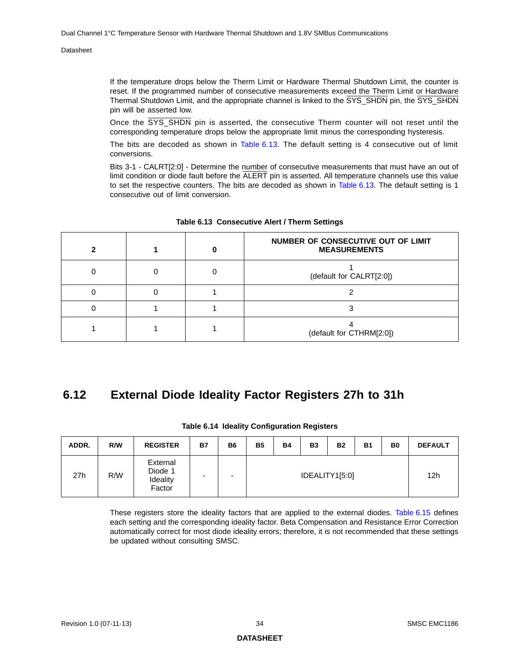If the temperature drops below the Therm Limit or Hardware Thermal Shutdown Limit, the counter is reset. If the programmed number of consecutive measurements exceed the Therm Limit or Hardware Thermal Shutdown Limit, and the appropriate channel is linked to the SYS\_SHDN pin, the SYS\_SHDN pin will be asserted low.

Once the SYS\_SHDN pin is asserted, the consecutive Therm counter will not reset until the corresponding temperature drops below the appropriate limit minus the corresponding hysteresis.

The bits are decoded as shown in [Table](#page-33-1) 6.13. The default setting is 4 consecutive out of limit conversions.

Bits 3-1 - CALRT[2:0] - Determine the number of consecutive measurements that must have an out of limit condition or diode fault before the ALERT pin is asserted. All temperature channels use this value to set the respective counters. The bits are decoded as shown in [Table](#page-33-1) 6.13. The default setting is 1 consecutive out of limit conversion.

<span id="page-33-1"></span>

|  | NUMBER OF CONSECUTIVE OUT OF LIMIT<br><b>MEASUREMENTS</b> |
|--|-----------------------------------------------------------|
|  | (default for CALRT[2:0])                                  |
|  |                                                           |
|  |                                                           |
|  | (default for CTHRM[2:0])                                  |

#### **Table 6.13 Consecutive Alert / Therm Settings**

## <span id="page-33-0"></span>**6.12 External Diode Ideality Factor Registers 27h to 31h**

<span id="page-33-2"></span>

| ADDR. | R/W | <b>REGISTER</b>                           | <b>B7</b> | <b>B6</b> | <b>B5</b> | <b>B4</b> | <b>B3</b> | <b>B2</b>      | <b>B1</b> | B <sub>0</sub> | <b>DEFAULT</b>  |
|-------|-----|-------------------------------------------|-----------|-----------|-----------|-----------|-----------|----------------|-----------|----------------|-----------------|
| 27h   | R/W | External<br>Diode 1<br>Ideality<br>Factor |           |           |           |           |           | IDEALITY1[5:0] |           |                | 12 <sub>h</sub> |

#### **Table 6.14 Ideality Configuration Registers**

These registers store the ideality factors that are applied to the external diodes. [Table](#page-34-0) 6.15 defines each setting and the corresponding ideality factor. Beta Compensation and Resistance Error Correction automatically correct for most diode ideality errors; therefore, it is not recommended that these settings be updated without consulting SMSC.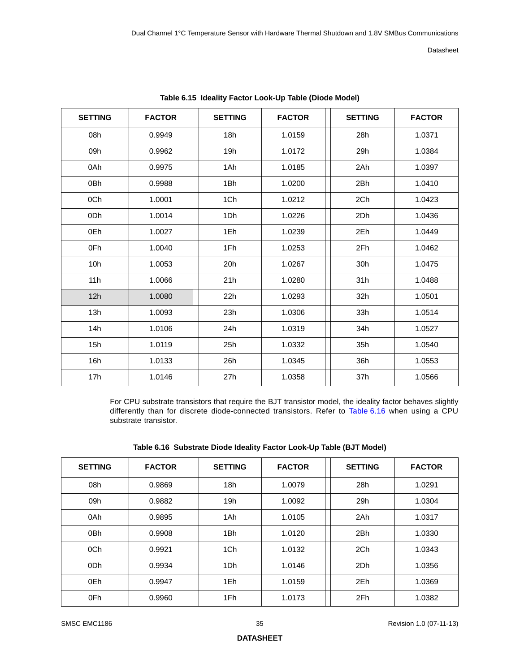<span id="page-34-0"></span>

| <b>SETTING</b> | <b>FACTOR</b> | <b>SETTING</b> | <b>FACTOR</b> | <b>SETTING</b> | <b>FACTOR</b> |
|----------------|---------------|----------------|---------------|----------------|---------------|
| 08h            | 0.9949        | 18h            | 1.0159        | 28h            | 1.0371        |
| 09h            | 0.9962        | 19h            | 1.0172        | 29h            | 1.0384        |
| 0Ah            | 0.9975        | 1Ah            | 1.0185        | 2Ah            | 1.0397        |
| 0Bh            | 0.9988        | 1Bh            | 1.0200        | 2Bh            | 1.0410        |
| 0Ch            | 1.0001        | 1Ch            | 1.0212        | 2Ch            | 1.0423        |
| 0Dh            | 1.0014        | 1Dh            | 1.0226        | 2Dh            | 1.0436        |
| 0Eh            | 1.0027        | 1Eh            | 1.0239        | 2Eh            | 1.0449        |
| 0Fh            | 1.0040        | 1Fh            | 1.0253        | 2Fh            | 1.0462        |
| 10h            | 1.0053        | 20h            | 1.0267        | 30h            | 1.0475        |
| 11h            | 1.0066        | 21h            | 1.0280        | 31h            | 1.0488        |
| 12h            | 1.0080        | 22h            | 1.0293        | 32h            | 1.0501        |
| 13h            | 1.0093        | 23h            | 1.0306        | 33h            | 1.0514        |
| 14h            | 1.0106        | 24h            | 1.0319        | 34h            | 1.0527        |
| 15h            | 1.0119        | 25h            | 1.0332        | 35h            | 1.0540        |
| 16h            | 1.0133        | 26h            | 1.0345        | 36h            | 1.0553        |
| 17h            | 1.0146        | 27h            | 1.0358        | 37h            | 1.0566        |

**Table 6.15 Ideality Factor Look-Up Table (Diode Model)** 

For CPU substrate transistors that require the BJT transistor model, the ideality factor behaves slightly differently than for discrete diode-connected transistors. Refer to [Table](#page-34-1) 6.16 when using a CPU substrate transistor.

| Table 6.16 Substrate Diode Ideality Factor Look-Up Table (BJT Model) |
|----------------------------------------------------------------------|
|----------------------------------------------------------------------|

<span id="page-34-1"></span>

| <b>SETTING</b>  | <b>FACTOR</b> | <b>SETTING</b> | <b>FACTOR</b> | <b>SETTING</b> | <b>FACTOR</b> |
|-----------------|---------------|----------------|---------------|----------------|---------------|
| 08h             | 0.9869        | 18h            | 1.0079        | 28h            | 1.0291        |
| 09h             | 0.9882        | 19h            | 1.0092        | 29h            | 1.0304        |
| 0Ah             | 0.9895        | 1Ah            | 1.0105        | 2Ah            | 1.0317        |
| 0 <sub>Bh</sub> | 0.9908        | 1Bh            | 1.0120        | 2Bh            | 1.0330        |
| 0Ch             | 0.9921        | 1Ch            | 1.0132        | 2Ch            | 1.0343        |
| 0 <sub>Dh</sub> | 0.9934        | 1Dh            | 1.0146        | 2Dh            | 1.0356        |
| 0Eh             | 0.9947        | 1Eh            | 1.0159        | 2Eh            | 1.0369        |
| 0Fh             | 0.9960        | 1Fh            | 1.0173        | 2Fh            | 1.0382        |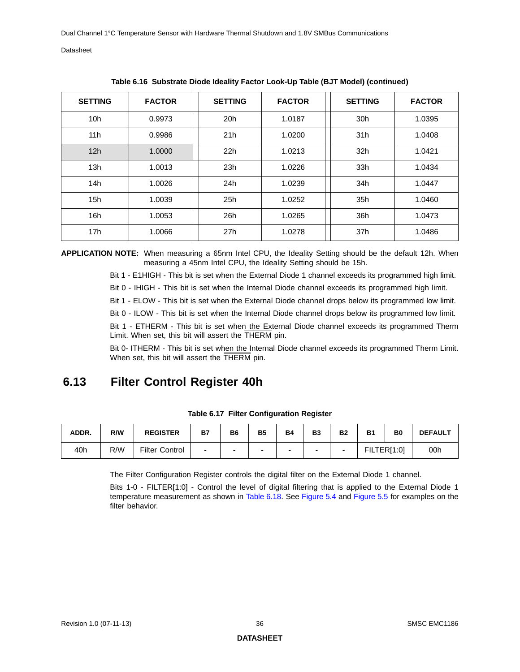| <b>SETTING</b>  | <b>FACTOR</b> | <b>SETTING</b> | <b>FACTOR</b> | <b>SETTING</b>  | <b>FACTOR</b> |
|-----------------|---------------|----------------|---------------|-----------------|---------------|
| 10 <sub>h</sub> | 0.9973        | 20h            | 1.0187        | 30 <sub>h</sub> | 1.0395        |
| 11h             | 0.9986        | 21h            | 1.0200        | 31h             | 1.0408        |
| 12h             | 1.0000        | 22h            | 1.0213        | 32 <sub>h</sub> | 1.0421        |
| 13h             | 1.0013        | 23h            | 1.0226        | 33h             | 1.0434        |
| 14h             | 1.0026        | 24h            | 1.0239        | 34h             | 1.0447        |
| 15h             | 1.0039        | 25h            | 1.0252        | 35h             | 1.0460        |
| 16h             | 1.0053        | 26h            | 1.0265        | 36h             | 1.0473        |
| 17 <sub>h</sub> | 1.0066        | 27h            | 1.0278        | 37h             | 1.0486        |

**Table 6.16 Substrate Diode Ideality Factor Look-Up Table (BJT Model) (continued)** 

**APPLICATION NOTE:** When measuring a 65nm Intel CPU, the Ideality Setting should be the default 12h. When measuring a 45nm Intel CPU, the Ideality Setting should be 15h.

Bit 1 - E1HIGH - This bit is set when the External Diode 1 channel exceeds its programmed high limit.

Bit 0 - IHIGH - This bit is set when the Internal Diode channel exceeds its programmed high limit.

Bit 1 - ELOW - This bit is set when the External Diode channel drops below its programmed low limit.

Bit 0 - ILOW - This bit is set when the Internal Diode channel drops below its programmed low limit.

Bit 1 - ETHERM - This bit is set when the External Diode channel exceeds its programmed Therm Limit. When set, this bit will assert the THERM pin.

<span id="page-35-2"></span>Bit 0- ITHERM - This bit is set when the Internal Diode channel exceeds its programmed Therm Limit. When set, this bit will assert the THERM pin.

## <span id="page-35-0"></span>**6.13 Filter Control Register 40h**

<span id="page-35-1"></span>

| ADDR. | R/W | <b>REGISTER</b>       | <b>B7</b> | B <sub>6</sub>           | <b>B5</b> | <b>B4</b> | <b>B3</b> | <b>B2</b> | <b>B1</b>   | B <sub>0</sub> | <b>DEFAULT</b> |
|-------|-----|-----------------------|-----------|--------------------------|-----------|-----------|-----------|-----------|-------------|----------------|----------------|
| 40h   | R/W | <b>Filter Control</b> | -         | $\overline{\phantom{0}}$ |           |           | -         |           | FILTER[1:0] |                | 00h            |

**Table 6.17 Filter Configuration Register**

The Filter Configuration Register controls the digital filter on the External Diode 1 channel.

Bits 1-0 - FILTER[1:0] - Control the level of digital filtering that is applied to the External Diode 1 temperature measurement as shown in [Table](#page-36-3) 6.18. See [Figure](#page-22-2) 5.4 and [Figure](#page-22-3) 5.5 for examples on the filter behavior.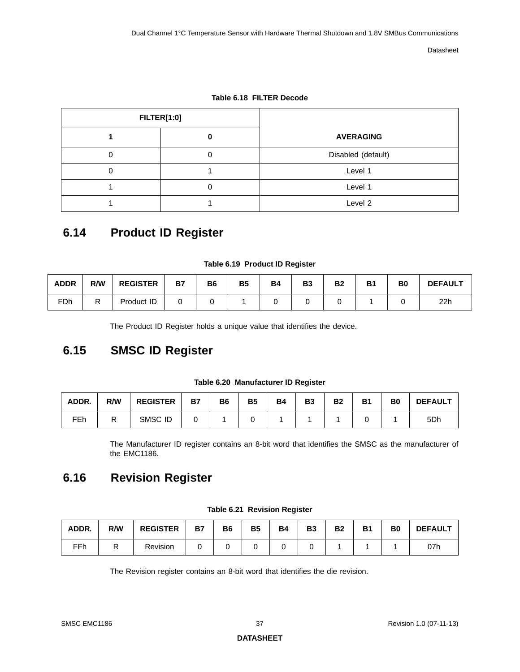<span id="page-36-3"></span>

| <b>FILTER[1:0]</b> |                    |  |  |
|--------------------|--------------------|--|--|
|                    | <b>AVERAGING</b>   |  |  |
| O                  | Disabled (default) |  |  |
|                    | Level 1            |  |  |
|                    | Level 1            |  |  |
|                    | Level 2            |  |  |

**Table 6.18 FILTER Decode**

# <span id="page-36-0"></span>**6.14 Product ID Register**

#### **Table 6.19 Product ID Register**

<span id="page-36-4"></span>

| <b>ADDR</b> | R/W | <b>REGISTER</b> | <b>B7</b> | B <sub>6</sub> | <b>B5</b> | <b>B4</b> | B <sub>3</sub> | <b>B2</b> | B | B0 | <b>DEFAULT</b> |
|-------------|-----|-----------------|-----------|----------------|-----------|-----------|----------------|-----------|---|----|----------------|
| FDh         | R   | Product ID      |           |                |           |           |                |           |   |    | 22h            |

The Product ID Register holds a unique value that identifies the device.

## <span id="page-36-1"></span>**6.15 SMSC ID Register**

| Table 6.20 Manufacturer ID Register |  |
|-------------------------------------|--|
|                                     |  |

<span id="page-36-5"></span>

| ADDR. | R/W | <b>REGISTER</b> | <b>B7</b> | <b>B6</b> | <b>B5</b> | <b>B4</b> | B <sub>3</sub> | <b>B2</b> | <b>B1</b> | B <sub>0</sub> | <b>DEFAULT</b>  |
|-------|-----|-----------------|-----------|-----------|-----------|-----------|----------------|-----------|-----------|----------------|-----------------|
| FEh   | . . | SMSC ID         |           |           |           |           |                |           |           |                | 5 <sub>Dh</sub> |

The Manufacturer ID register contains an 8-bit word that identifies the SMSC as the manufacturer of the EMC1186.

# <span id="page-36-2"></span>**6.16 Revision Register**

<span id="page-36-6"></span>

| ADDR. | R/W | <b>REGISTER</b> | <b>B7</b> | B <sub>6</sub> | <b>B5</b> | <b>B4</b> | B3 | <b>B2</b> | <b>B1</b> | B0 | <b>DEFAULT</b> |
|-------|-----|-----------------|-----------|----------------|-----------|-----------|----|-----------|-----------|----|----------------|
| FFh   | ▫   | Revision        |           |                |           |           |    |           |           |    | 07h            |

**Table 6.21 Revision Register**

The Revision register contains an 8-bit word that identifies the die revision.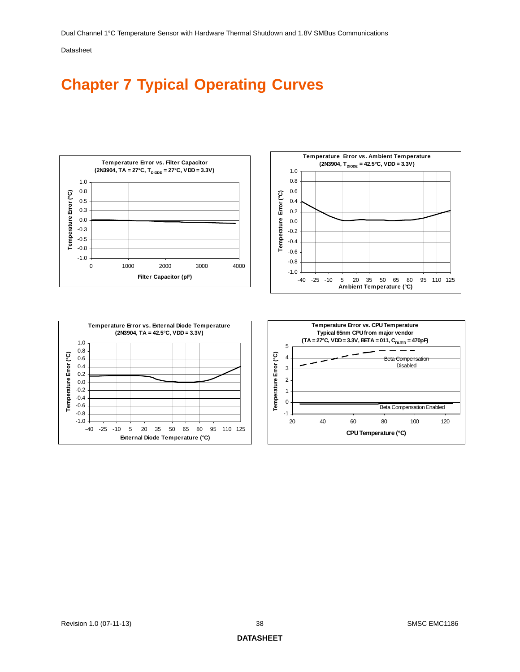# <span id="page-37-0"></span>**Chapter 7 Typical Operating Curves**

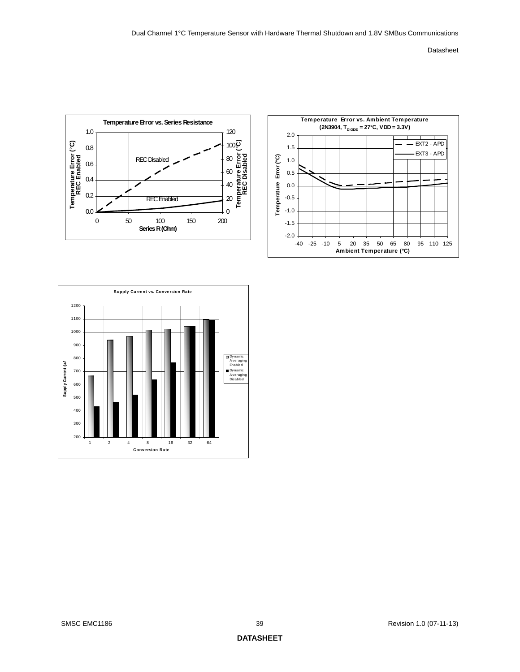



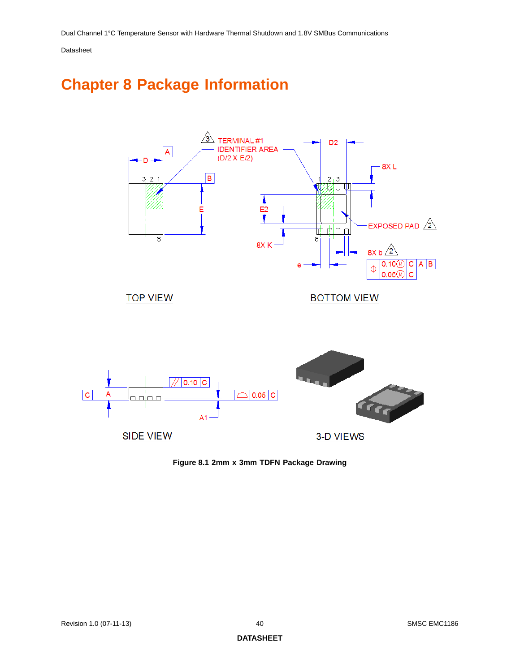# <span id="page-39-0"></span>**Chapter 8 Package Information**



<span id="page-39-1"></span>**Figure 8.1 2mm x 3mm TDFN Package Drawing**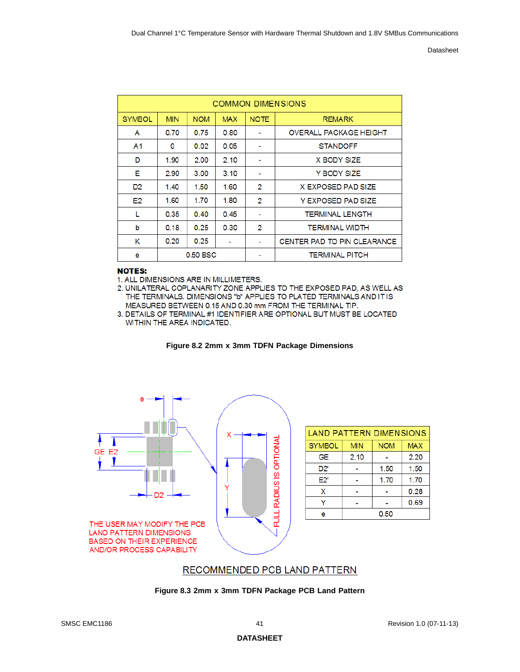|                | <b>COMMON DIMENSIONS</b> |            |            |             |                               |  |  |  |  |
|----------------|--------------------------|------------|------------|-------------|-------------------------------|--|--|--|--|
| <b>SYMBOL</b>  | <b>MIN</b>               | <b>NOM</b> | <b>MAX</b> | <b>NOTE</b> | <b>REMARK</b>                 |  |  |  |  |
| A              | 0.70                     | 0.75       | 0.80       |             | <b>OVERALL PACKAGE HEIGHT</b> |  |  |  |  |
| A <sub>1</sub> | 0                        | 0.02       | 0.05       |             | <b>STANDOFF</b>               |  |  |  |  |
| D              | 1.90                     | 2.00       | 2.10       |             | X BODY SIZE                   |  |  |  |  |
| Е              | 2.90                     | 3.00       | 3.10       |             | Y BODY SIZE                   |  |  |  |  |
| D <sub>2</sub> | 1.40                     | 1.50       | 1.60       | 2           | X EXPOSED PAD SIZE            |  |  |  |  |
| E <sub>2</sub> | 1.60                     | 1.70       | 1.80       | 2           | Y EXPOSED PAD SIZE            |  |  |  |  |
|                | 0.35                     | 0.40       | 0.45       |             | <b>TERMINAL LENGTH</b>        |  |  |  |  |
| b              | 0.18                     | 0.25       | 0.30       | 2           | <b>TERMINAL WIDTH</b>         |  |  |  |  |
| κ              | 0.20<br>0.25             |            |            |             | CENTER PAD TO PIN CLEARANCE   |  |  |  |  |
| e              | $0.50$ BSC               |            |            |             | <b>TERMINAL PITCH</b>         |  |  |  |  |

#### **NOTES:**

1. ALL DIMENSIONS ARE IN MILLIMETERS.

2. UNILATERAL COPLANARITY ZONE APPLIES TO THE EXPOSED PAD, AS WELL AS THE TERMINALS. DIMENSIONS "b" APPLIES TO PLATED TERMINALS AND IT IS MEASURED BETWEEN 0.15 AND 0.30 mm FROM THE TERMINAL TIP.

3. DETAILS OF TERMINAL #1 IDENTIFIER ARE OPTIONAL BUT MUST BE LOCATED WITHIN THE AREA INDICATED.



<span id="page-40-1"></span>

|               | <b>LAND PATTERN DIMENSIONS</b> |            |            |  |  |  |  |  |  |
|---------------|--------------------------------|------------|------------|--|--|--|--|--|--|
| <b>SYMBOL</b> | <b>MIN</b>                     | <b>NOM</b> | <b>MAX</b> |  |  |  |  |  |  |
| GE            | 2.10                           |            | 2.20       |  |  |  |  |  |  |
| D2'           |                                | 1.50       | 1.50       |  |  |  |  |  |  |
| E2'           |                                | 1.70       | 1.70       |  |  |  |  |  |  |
| x             |                                |            | 0.28       |  |  |  |  |  |  |
|               |                                |            | 0.69       |  |  |  |  |  |  |
| е             | 0.50                           |            |            |  |  |  |  |  |  |

### RECOMMENDED PCB LAND PATTERN

<span id="page-40-0"></span>**Figure 8.3 2mm x 3mm TDFN Package PCB Land Pattern**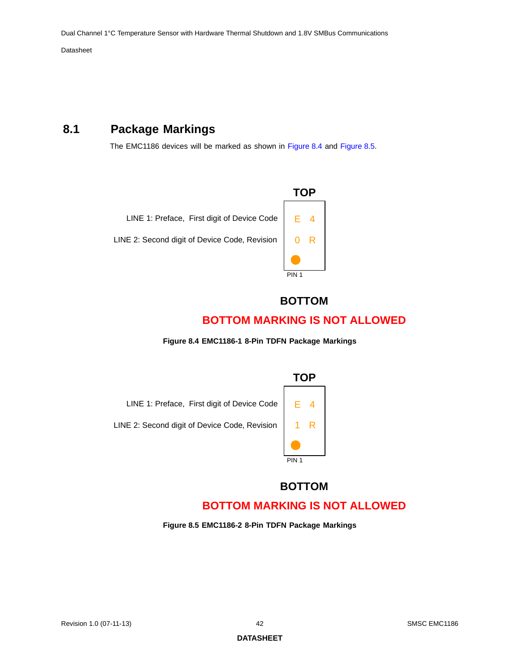## <span id="page-41-0"></span>**8.1 Package Markings**

The EMC1186 devices will be marked as shown in [Figure](#page-41-1) 8.4 and [Figure](#page-41-2) 8.5.



## **BOTTOM**

## **BOTTOM MARKING IS NOT ALLOWED**

**Figure 8.4 EMC1186-1 8-Pin TDFN Package Markings** 

<span id="page-41-1"></span>

## **BOTTOM**

## **BOTTOM MARKING IS NOT ALLOWED**

<span id="page-41-2"></span>**Figure 8.5 EMC1186-2 8-Pin TDFN Package Markings**